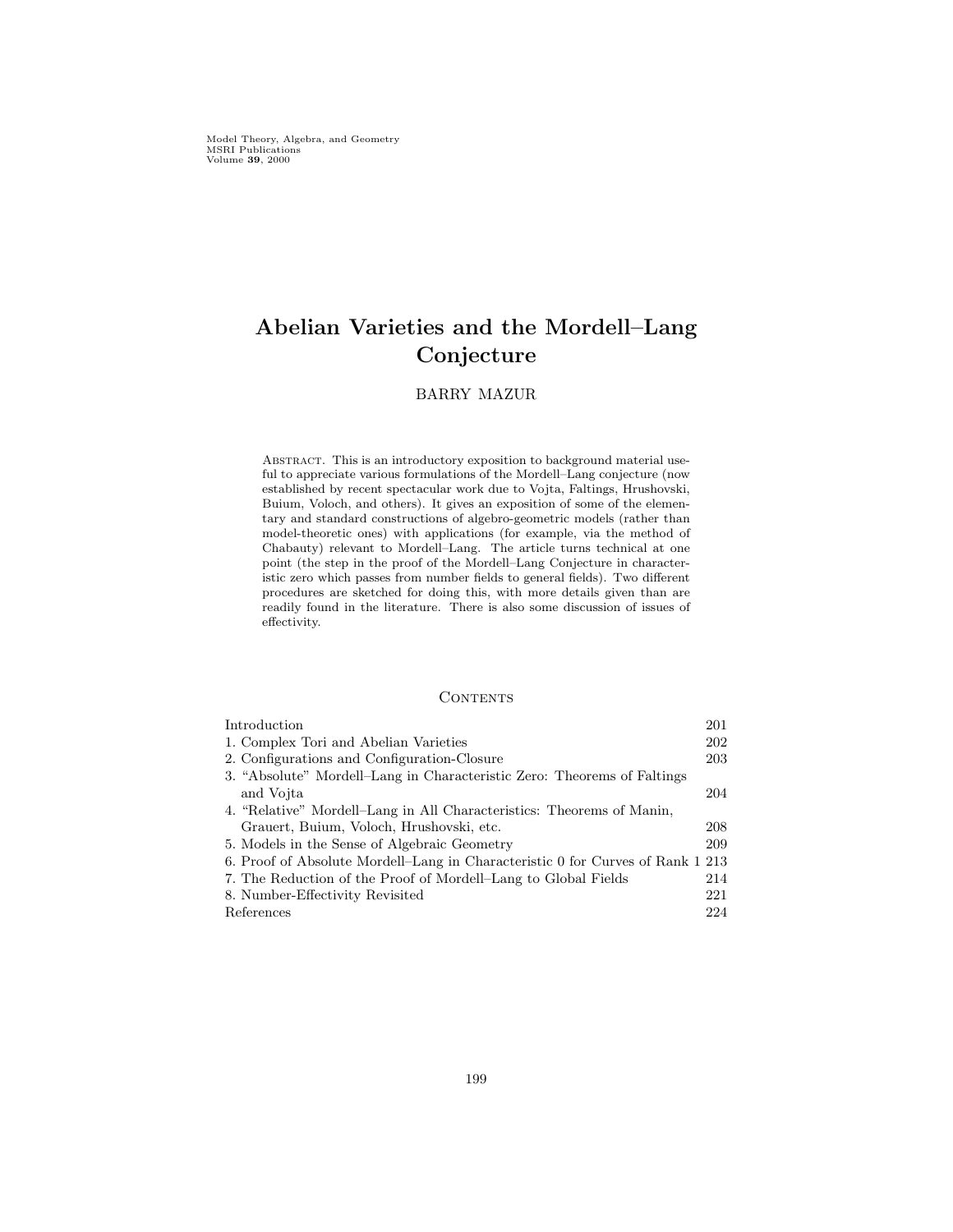Model Theory, Algebra, and Geometry MSRI Publications Volume 39, 2000

# Abelian Varieties and the Mordell–Lang Conjecture

# BARRY MAZUR

ABSTRACT. This is an introductory exposition to background material useful to appreciate various formulations of the Mordell–Lang conjecture (now established by recent spectacular work due to Vojta, Faltings, Hrushovski, Buium, Voloch, and others). It gives an exposition of some of the elementary and standard constructions of algebro-geometric models (rather than model-theoretic ones) with applications (for example, via the method of Chabauty) relevant to Mordell–Lang. The article turns technical at one point (the step in the proof of the Mordell–Lang Conjecture in characteristic zero which passes from number fields to general fields). Two different procedures are sketched for doing this, with more details given than are readily found in the literature. There is also some discussion of issues of effectivity.

#### **CONTENTS**

| Introduction                                                                   | 201 |
|--------------------------------------------------------------------------------|-----|
| 1. Complex Tori and Abelian Varieties                                          | 202 |
| 2. Configurations and Configuration-Closure                                    | 203 |
| 3. "Absolute" Mordell-Lang in Characteristic Zero: Theorems of Faltings        |     |
| and Vojta                                                                      | 204 |
| 4. "Relative" Mordell-Lang in All Characteristics: Theorems of Manin,          |     |
| Grauert, Buium, Voloch, Hrushovski, etc.                                       | 208 |
| 5. Models in the Sense of Algebraic Geometry                                   | 209 |
| 6. Proof of Absolute Mordell–Lang in Characteristic 0 for Curves of Rank 1 213 |     |
| 7. The Reduction of the Proof of Mordell–Lang to Global Fields                 | 214 |
| 8. Number-Effectivity Revisited                                                | 221 |
| References                                                                     | 224 |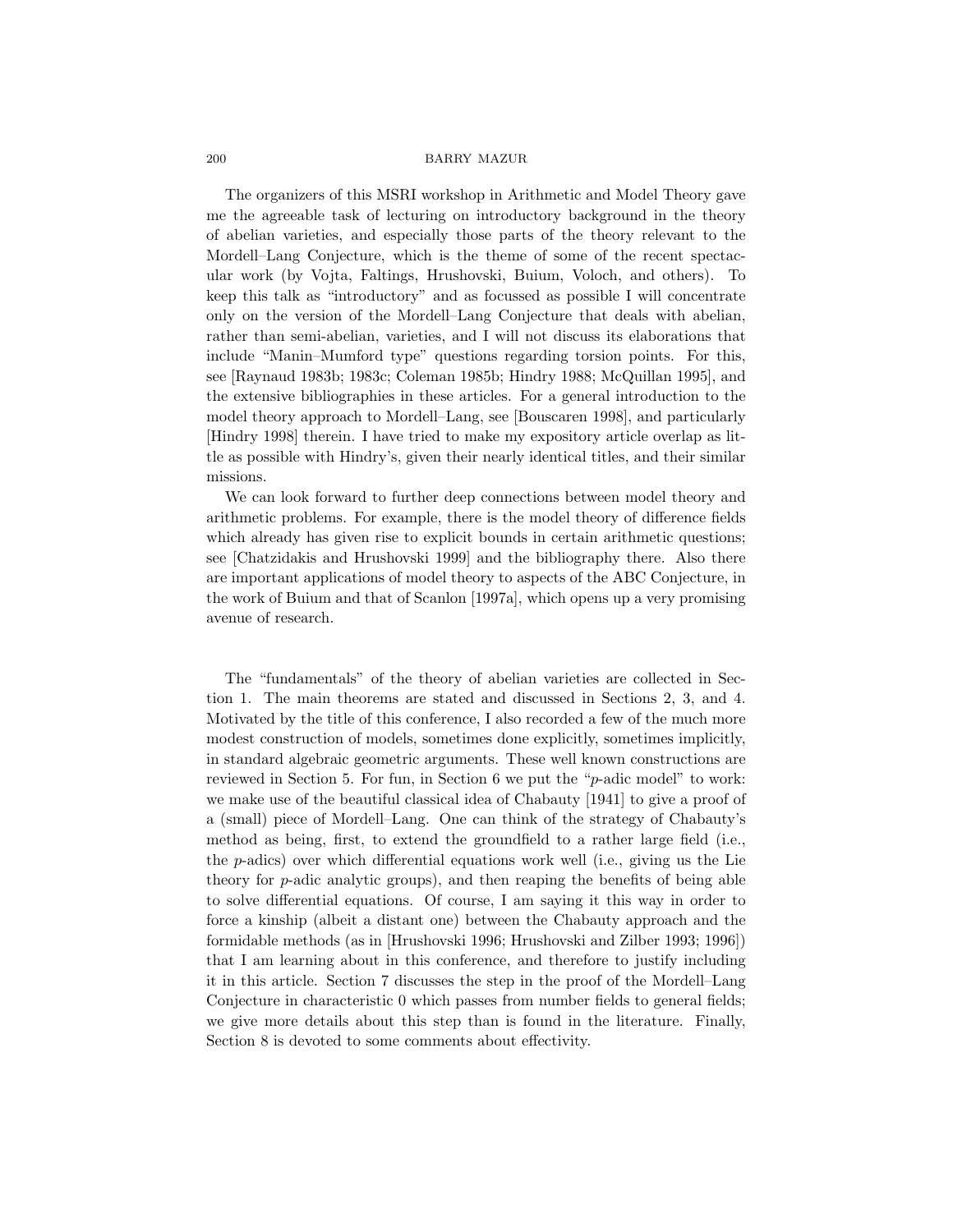The organizers of this MSRI workshop in Arithmetic and Model Theory gave me the agreeable task of lecturing on introductory background in the theory of abelian varieties, and especially those parts of the theory relevant to the Mordell–Lang Conjecture, which is the theme of some of the recent spectacular work (by Vojta, Faltings, Hrushovski, Buium, Voloch, and others). To keep this talk as "introductory" and as focussed as possible I will concentrate only on the version of the Mordell–Lang Conjecture that deals with abelian, rather than semi-abelian, varieties, and I will not discuss its elaborations that include "Manin–Mumford type" questions regarding torsion points. For this, see [Raynaud 1983b; 1983c; Coleman 1985b; Hindry 1988; McQuillan 1995], and the extensive bibliographies in these articles. For a general introduction to the model theory approach to Mordell–Lang, see [Bouscaren 1998], and particularly [Hindry 1998] therein. I have tried to make my expository article overlap as little as possible with Hindry's, given their nearly identical titles, and their similar missions.

We can look forward to further deep connections between model theory and arithmetic problems. For example, there is the model theory of difference fields which already has given rise to explicit bounds in certain arithmetic questions; see [Chatzidakis and Hrushovski 1999] and the bibliography there. Also there are important applications of model theory to aspects of the ABC Conjecture, in the work of Buium and that of Scanlon [1997a], which opens up a very promising avenue of research.

The "fundamentals" of the theory of abelian varieties are collected in Section 1. The main theorems are stated and discussed in Sections 2, 3, and 4. Motivated by the title of this conference, I also recorded a few of the much more modest construction of models, sometimes done explicitly, sometimes implicitly, in standard algebraic geometric arguments. These well known constructions are reviewed in Section 5. For fun, in Section 6 we put the "p-adic model" to work: we make use of the beautiful classical idea of Chabauty [1941] to give a proof of a (small) piece of Mordell–Lang. One can think of the strategy of Chabauty's method as being, first, to extend the groundfield to a rather large field (i.e., the  $p$ -adics) over which differential equations work well (i.e., giving us the Lie theory for  $p$ -adic analytic groups), and then reaping the benefits of being able to solve differential equations. Of course, I am saying it this way in order to force a kinship (albeit a distant one) between the Chabauty approach and the formidable methods (as in [Hrushovski 1996; Hrushovski and Zilber 1993; 1996]) that I am learning about in this conference, and therefore to justify including it in this article. Section 7 discusses the step in the proof of the Mordell–Lang Conjecture in characteristic 0 which passes from number fields to general fields; we give more details about this step than is found in the literature. Finally, Section 8 is devoted to some comments about effectivity.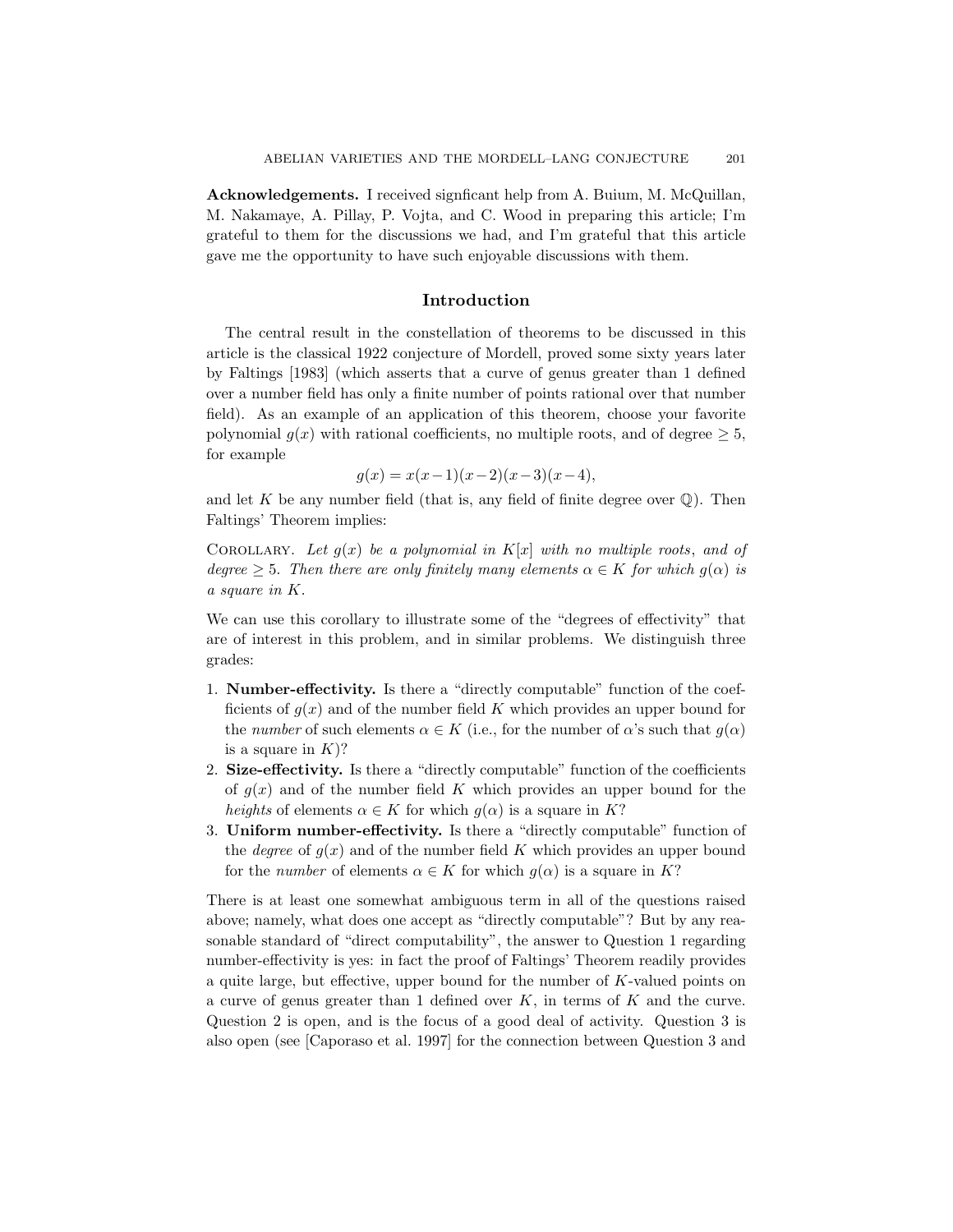Acknowledgements. I received signficant help from A. Buium, M. McQuillan, M. Nakamaye, A. Pillay, P. Vojta, and C. Wood in preparing this article; I'm grateful to them for the discussions we had, and I'm grateful that this article gave me the opportunity to have such enjoyable discussions with them.

## Introduction

The central result in the constellation of theorems to be discussed in this article is the classical 1922 conjecture of Mordell, proved some sixty years later by Faltings [1983] (which asserts that a curve of genus greater than 1 defined over a number field has only a finite number of points rational over that number field). As an example of an application of this theorem, choose your favorite polynomial  $g(x)$  with rational coefficients, no multiple roots, and of degree  $\geq 5$ , for example

$$
g(x) = x(x-1)(x-2)(x-3)(x-4),
$$

and let K be any number field (that is, any field of finite degree over  $\mathbb{Q}$ ). Then Faltings' Theorem implies:

COROLLARY. Let  $g(x)$  be a polynomial in  $K[x]$  with no multiple roots, and of degree  $\geq 5$ . Then there are only finitely many elements  $\alpha \in K$  for which  $g(\alpha)$  is a square in K.

We can use this corollary to illustrate some of the "degrees of effectivity" that are of interest in this problem, and in similar problems. We distinguish three grades:

- 1. Number-effectivity. Is there a "directly computable" function of the coefficients of  $g(x)$  and of the number field K which provides an upper bound for the number of such elements  $\alpha \in K$  (i.e., for the number of  $\alpha$ 's such that  $g(\alpha)$ ) is a square in  $K$ ?
- 2. Size-effectivity. Is there a "directly computable" function of the coefficients of  $g(x)$  and of the number field K which provides an upper bound for the heights of elements  $\alpha \in K$  for which  $g(\alpha)$  is a square in K?
- 3. Uniform number-effectivity. Is there a "directly computable" function of the *degree* of  $g(x)$  and of the number field K which provides an upper bound for the *number* of elements  $\alpha \in K$  for which  $g(\alpha)$  is a square in K?

There is at least one somewhat ambiguous term in all of the questions raised above; namely, what does one accept as "directly computable"? But by any reasonable standard of "direct computability", the answer to Question 1 regarding number-effectivity is yes: in fact the proof of Faltings' Theorem readily provides a quite large, but effective, upper bound for the number of K-valued points on a curve of genus greater than 1 defined over  $K$ , in terms of  $K$  and the curve. Question 2 is open, and is the focus of a good deal of activity. Question 3 is also open (see [Caporaso et al. 1997] for the connection between Question 3 and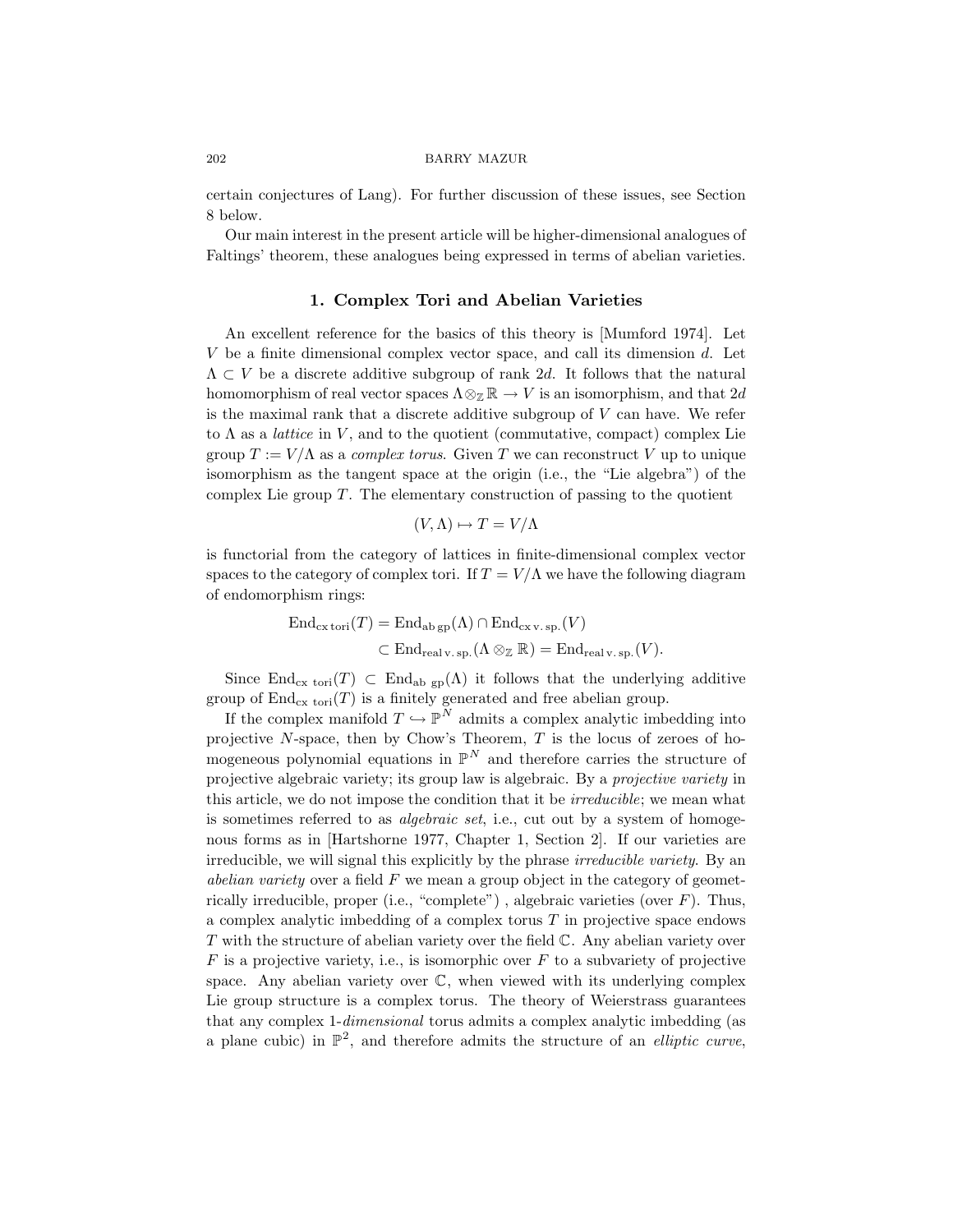certain conjectures of Lang). For further discussion of these issues, see Section 8 below.

Our main interest in the present article will be higher-dimensional analogues of Faltings' theorem, these analogues being expressed in terms of abelian varieties.

## 1. Complex Tori and Abelian Varieties

An excellent reference for the basics of this theory is [Mumford 1974]. Let  $V$  be a finite dimensional complex vector space, and call its dimension  $d$ . Let  $\Lambda \subset V$  be a discrete additive subgroup of rank 2d. It follows that the natural homomorphism of real vector spaces  $\Lambda \otimes_{\mathbb{Z}} \mathbb{R} \to V$  is an isomorphism, and that  $2d$ is the maximal rank that a discrete additive subgroup of V can have. We refer to  $\Lambda$  as a *lattice* in V, and to the quotient (commutative, compact) complex Lie group  $T := V/\Lambda$  as a *complex torus*. Given T we can reconstruct V up to unique isomorphism as the tangent space at the origin (i.e., the "Lie algebra") of the complex Lie group  $T$ . The elementary construction of passing to the quotient

$$
(V, \Lambda) \mapsto T = V/\Lambda
$$

is functorial from the category of lattices in finite-dimensional complex vector spaces to the category of complex tori. If  $T = V/\Lambda$  we have the following diagram of endomorphism rings:

$$
\text{End}_{\text{cx tori}}(T) = \text{End}_{\text{ab gp}}(\Lambda) \cap \text{End}_{\text{cx v. sp.}}(V)
$$
  

$$
\subset \text{End}_{\text{real v. sp.}}(\Lambda \otimes_{\mathbb{Z}} \mathbb{R}) = \text{End}_{\text{real v. sp.}}(V).
$$

Since End<sub>cx tori</sub> $(T) \subset$  End<sub>ab gp</sub>( $\Lambda$ ) it follows that the underlying additive group of  $\text{End}_{\text{cx tori}}(T)$  is a finitely generated and free abelian group.

If the complex manifold  $T \hookrightarrow \mathbb{P}^N$  admits a complex analytic imbedding into projective  $N$ -space, then by Chow's Theorem,  $T$  is the locus of zeroes of homogeneous polynomial equations in  $\mathbb{P}^N$  and therefore carries the structure of projective algebraic variety; its group law is algebraic. By a projective variety in this article, we do not impose the condition that it be *irreducible*; we mean what is sometimes referred to as *algebraic set*, i.e., cut out by a system of homogenous forms as in [Hartshorne 1977, Chapter 1, Section 2]. If our varieties are irreducible, we will signal this explicitly by the phrase *irreducible variety*. By an abelian variety over a field  $F$  we mean a group object in the category of geometrically irreducible, proper (i.e., "complete"), algebraic varieties (over  $F$ ). Thus, a complex analytic imbedding of a complex torus  $T$  in projective space endows  $T$  with the structure of abelian variety over the field  $\mathbb{C}$ . Any abelian variety over  $F$  is a projective variety, i.e., is isomorphic over  $F$  to a subvariety of projective space. Any abelian variety over  $\mathbb{C}$ , when viewed with its underlying complex Lie group structure is a complex torus. The theory of Weierstrass guarantees that any complex 1-dimensional torus admits a complex analytic imbedding (as a plane cubic) in  $\mathbb{P}^2$ , and therefore admits the structure of an *elliptic curve*,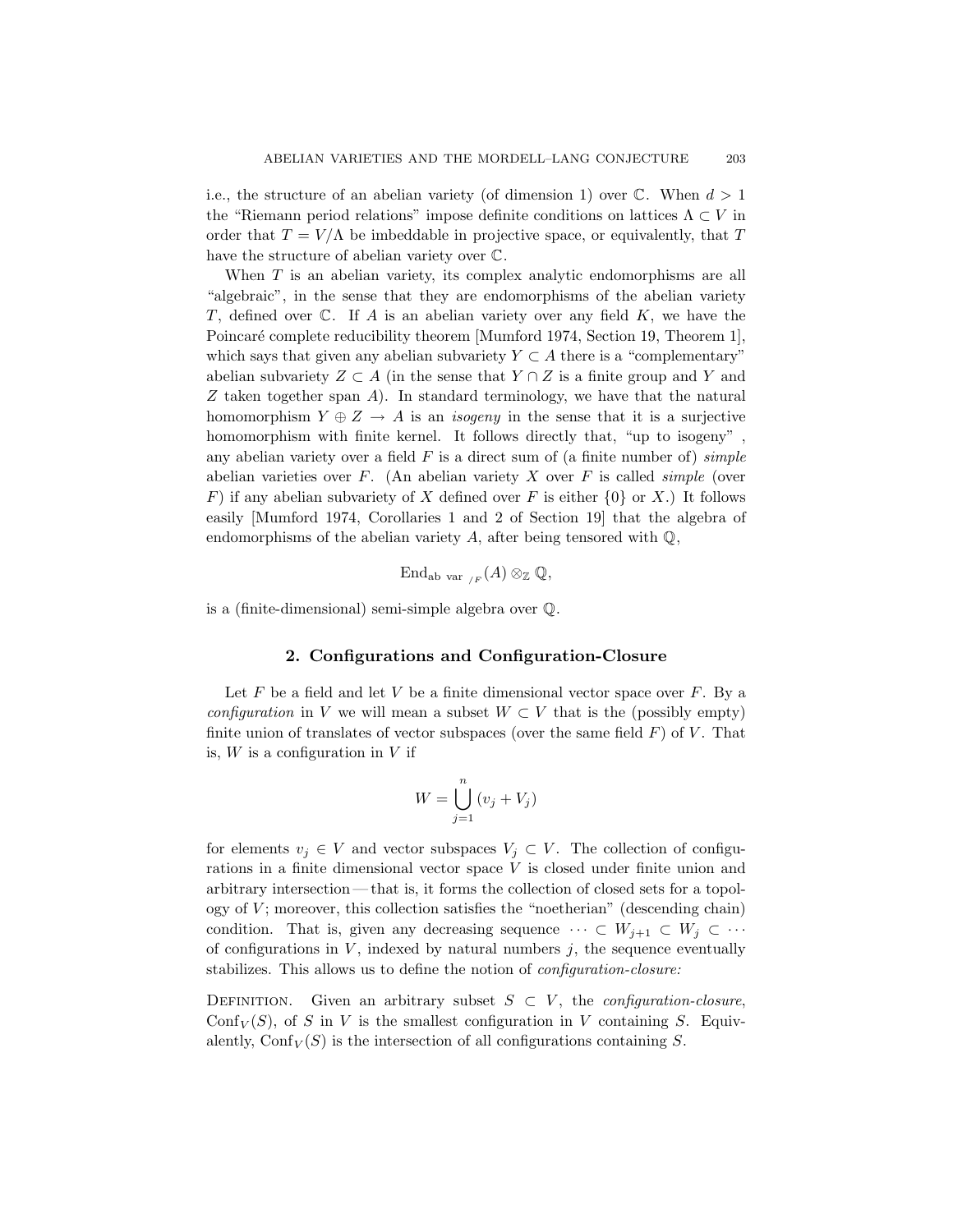i.e., the structure of an abelian variety (of dimension 1) over  $\mathbb{C}$ . When  $d > 1$ the "Riemann period relations" impose definite conditions on lattices  $\Lambda \subset V$  in order that  $T = V/\Lambda$  be imbeddable in projective space, or equivalently, that T have the structure of abelian variety over C.

When T is an abelian variety, its complex analytic endomorphisms are all "algebraic", in the sense that they are endomorphisms of the abelian variety T, defined over  $\mathbb C$ . If A is an abelian variety over any field  $K$ , we have the Poincaré complete reducibility theorem [Mumford 1974, Section 19, Theorem 1], which says that given any abelian subvariety  $Y \subset A$  there is a "complementary" abelian subvariety  $Z \subset A$  (in the sense that  $Y \cap Z$  is a finite group and Y and Z taken together span  $A$ ). In standard terminology, we have that the natural homomorphism  $Y \oplus Z \rightarrow A$  is an *isogeny* in the sense that it is a surjective homomorphism with finite kernel. It follows directly that, "up to isogeny", any abelian variety over a field  $F$  is a direct sum of (a finite number of) *simple* abelian varieties over  $F$ . (An abelian variety  $X$  over  $F$  is called *simple* (over F) if any abelian subvariety of X defined over F is either  $\{0\}$  or X.) It follows easily [Mumford 1974, Corollaries 1 and 2 of Section 19] that the algebra of endomorphisms of the abelian variety  $A$ , after being tensored with  $\mathbb{Q}$ ,

$$
\mathrm{End}_{\mathrm{ab}\mathrm{var}_{/F}}(A)\otimes_{\mathbb{Z}}\mathbb{Q},
$$

is a (finite-dimensional) semi-simple algebra over Q.

### 2. Configurations and Configuration-Closure

Let  $F$  be a field and let  $V$  be a finite dimensional vector space over  $F$ . By a configuration in V we will mean a subset  $W \subset V$  that is the (possibly empty) finite union of translates of vector subspaces (over the same field  $F$ ) of  $V$ . That is,  $W$  is a configuration in  $V$  if

$$
W = \bigcup_{j=1}^{n} (v_j + V_j)
$$

for elements  $v_j \in V$  and vector subspaces  $V_j \subset V$ . The collection of configurations in a finite dimensional vector space V is closed under finite union and arbitrary intersection — that is, it forms the collection of closed sets for a topology of  $V$ ; moreover, this collection satisfies the "noetherian" (descending chain) condition. That is, given any decreasing sequence  $\cdots \subset W_{j+1} \subset W_j \subset \cdots$ of configurations in  $V$ , indexed by natural numbers  $j$ , the sequence eventually stabilizes. This allows us to define the notion of *configuration-closure*:

DEFINITION. Given an arbitrary subset  $S \subset V$ , the *configuration-closure*, Conf<sub>V</sub> $(S)$ , of S in V is the smallest configuration in V containing S. Equivalently,  $\text{Conf}_V(S)$  is the intersection of all configurations containing S.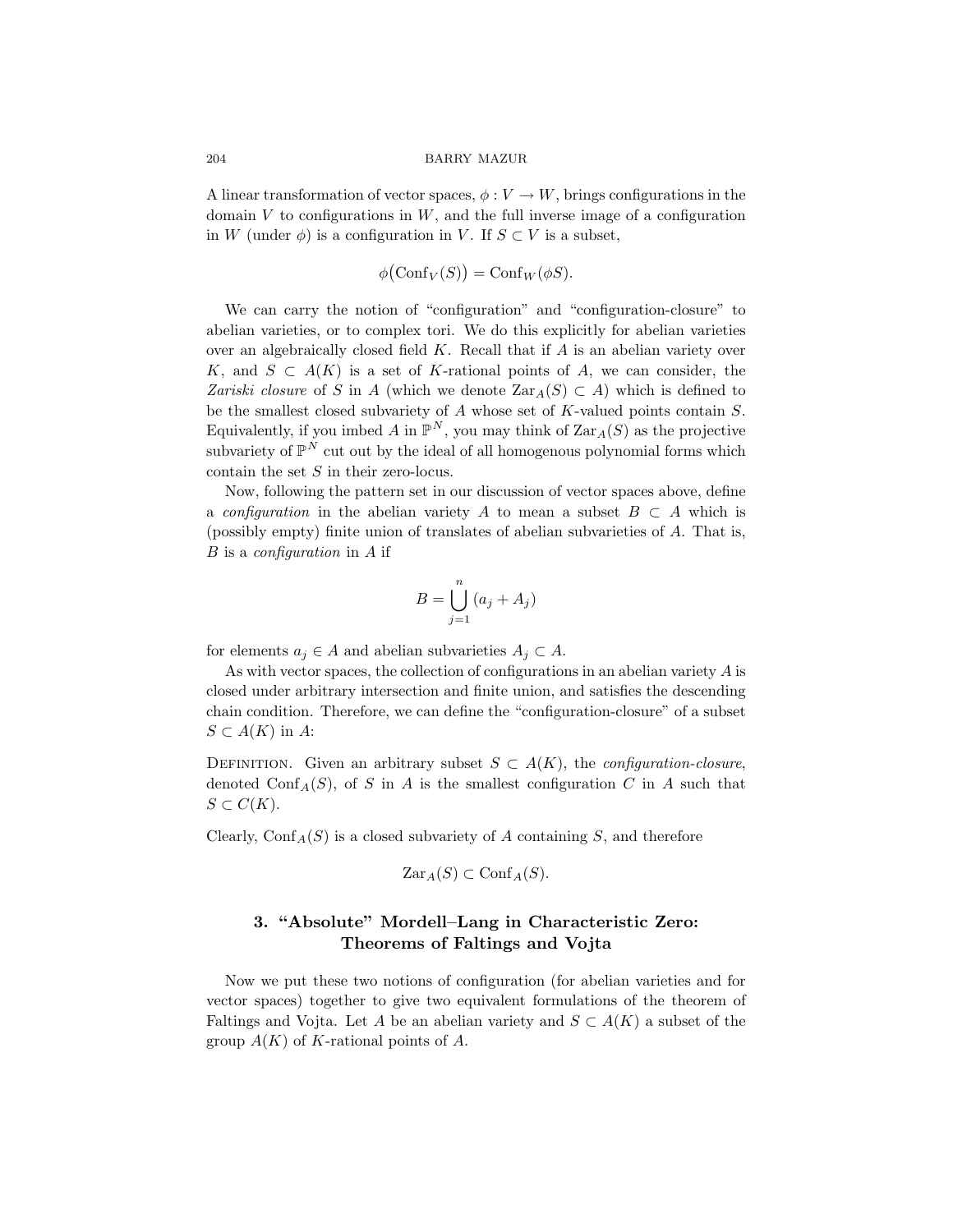A linear transformation of vector spaces,  $\phi: V \to W$ , brings configurations in the domain  $V$  to configurations in  $W$ , and the full inverse image of a configuration in W (under  $\phi$ ) is a configuration in V. If  $S \subset V$  is a subset,

$$
\phi(\mathrm{Conf}_V(S)) = \mathrm{Conf}_W(\phi S).
$$

We can carry the notion of "configuration" and "configuration-closure" to abelian varieties, or to complex tori. We do this explicitly for abelian varieties over an algebraically closed field  $K$ . Recall that if  $A$  is an abelian variety over K, and  $S \subset A(K)$  is a set of K-rational points of A, we can consider, the Zariski closure of S in A (which we denote  $\text{Zar}_{A}(S) \subset A$ ) which is defined to be the smallest closed subvariety of A whose set of K-valued points contain S. Equivalently, if you imbed A in  $\mathbb{P}^N$ , you may think of  $\text{Zar}_A(S)$  as the projective subvariety of  $\mathbb{P}^N$  cut out by the ideal of all homogenous polynomial forms which contain the set  $S$  in their zero-locus.

Now, following the pattern set in our discussion of vector spaces above, define a configuration in the abelian variety A to mean a subset  $B \subset A$  which is (possibly empty) finite union of translates of abelian subvarieties of A. That is,  $B$  is a *configuration* in  $A$  if

$$
B = \bigcup_{j=1}^{n} (a_j + A_j)
$$

for elements  $a_i \in A$  and abelian subvarieties  $A_i \subset A$ .

As with vector spaces, the collection of configurations in an abelian variety A is closed under arbitrary intersection and finite union, and satisfies the descending chain condition. Therefore, we can define the "configuration-closure" of a subset  $S \subset A(K)$  in A:

DEFINITION. Given an arbitrary subset  $S \subset A(K)$ , the *configuration-closure*, denoted Conf<sub>A</sub>(S), of S in A is the smallest configuration C in A such that  $S \subset C(K)$ .

Clearly,  $\text{Conf}_A(S)$  is a closed subvariety of A containing S, and therefore

$$
\mathrm{Zar}_A(S) \subset \mathrm{Conf}_A(S).
$$

# 3. "Absolute" Mordell–Lang in Characteristic Zero: Theorems of Faltings and Vojta

Now we put these two notions of configuration (for abelian varieties and for vector spaces) together to give two equivalent formulations of the theorem of Faltings and Vojta. Let A be an abelian variety and  $S \subset A(K)$  a subset of the group  $A(K)$  of K-rational points of A.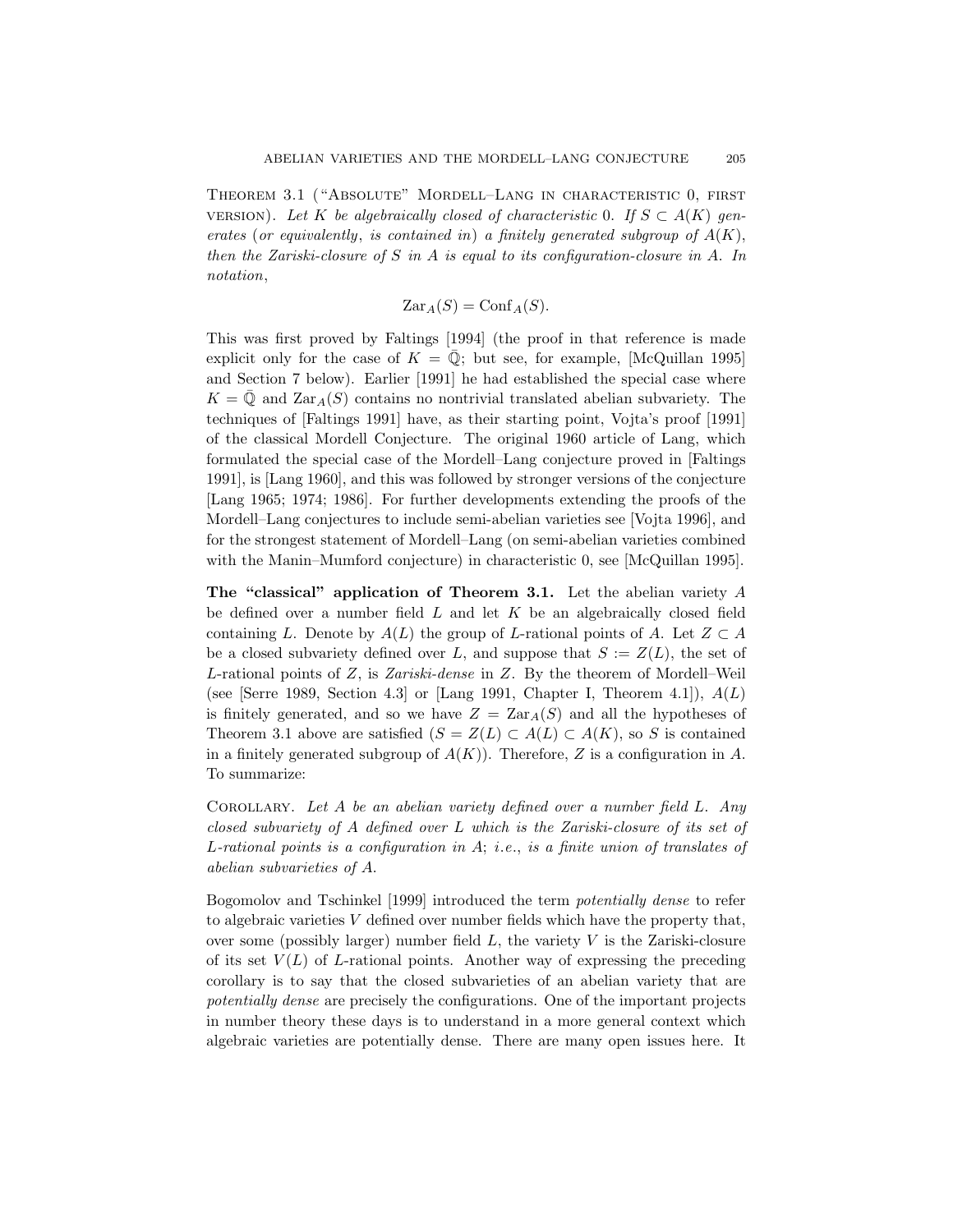Theorem 3.1 ("Absolute" Mordell–Lang in characteristic 0, first VERSION). Let K be algebraically closed of characteristic 0. If  $S \subset A(K)$  generates (or equivalently, is contained in) a finitely generated subgroup of  $A(K)$ , then the Zariski-closure of S in A is equal to its configuration-closure in A. In notation,

$$
\mathrm{Zar}_A(S) = \mathrm{Conf}_A(S).
$$

This was first proved by Faltings [1994] (the proof in that reference is made explicit only for the case of  $K = \overline{Q}$ ; but see, for example, [McQuillan 1995] and Section 7 below). Earlier [1991] he had established the special case where  $K = \overline{Q}$  and  $\text{Zar}_{A}(S)$  contains no nontrivial translated abelian subvariety. The techniques of [Faltings 1991] have, as their starting point, Vojta's proof [1991] of the classical Mordell Conjecture. The original 1960 article of Lang, which formulated the special case of the Mordell–Lang conjecture proved in [Faltings 1991], is [Lang 1960], and this was followed by stronger versions of the conjecture [Lang 1965; 1974; 1986]. For further developments extending the proofs of the Mordell–Lang conjectures to include semi-abelian varieties see [Vojta 1996], and for the strongest statement of Mordell–Lang (on semi-abelian varieties combined with the Manin–Mumford conjecture) in characteristic 0, see [McQuillan 1995].

The "classical" application of Theorem 3.1. Let the abelian variety A be defined over a number field  $L$  and let  $K$  be an algebraically closed field containing L. Denote by  $A(L)$  the group of L-rational points of A. Let  $Z \subset A$ be a closed subvariety defined over L, and suppose that  $S := Z(L)$ , the set of L-rational points of Z, is Zariski-dense in Z. By the theorem of Mordell–Weil (see [Serre 1989, Section 4.3] or [Lang 1991, Chapter I, Theorem 4.1]),  $A(L)$ is finitely generated, and so we have  $Z = \text{Zar}_{A}(S)$  and all the hypotheses of Theorem 3.1 above are satisfied  $(S = Z(L) \subset A(L) \subset A(K)$ , so S is contained in a finitely generated subgroup of  $A(K)$ ). Therefore, Z is a configuration in A. To summarize:

COROLLARY. Let A be an abelian variety defined over a number field  $L$ . Any closed subvariety of A defined over L which is the Zariski-closure of its set of L-rational points is a configuration in A; i.e., is a finite union of translates of abelian subvarieties of A.

Bogomolov and Tschinkel [1999] introduced the term potentially dense to refer to algebraic varieties  $V$  defined over number fields which have the property that, over some (possibly larger) number field  $L$ , the variety  $V$  is the Zariski-closure of its set  $V(L)$  of L-rational points. Another way of expressing the preceding corollary is to say that the closed subvarieties of an abelian variety that are potentially dense are precisely the configurations. One of the important projects in number theory these days is to understand in a more general context which algebraic varieties are potentially dense. There are many open issues here. It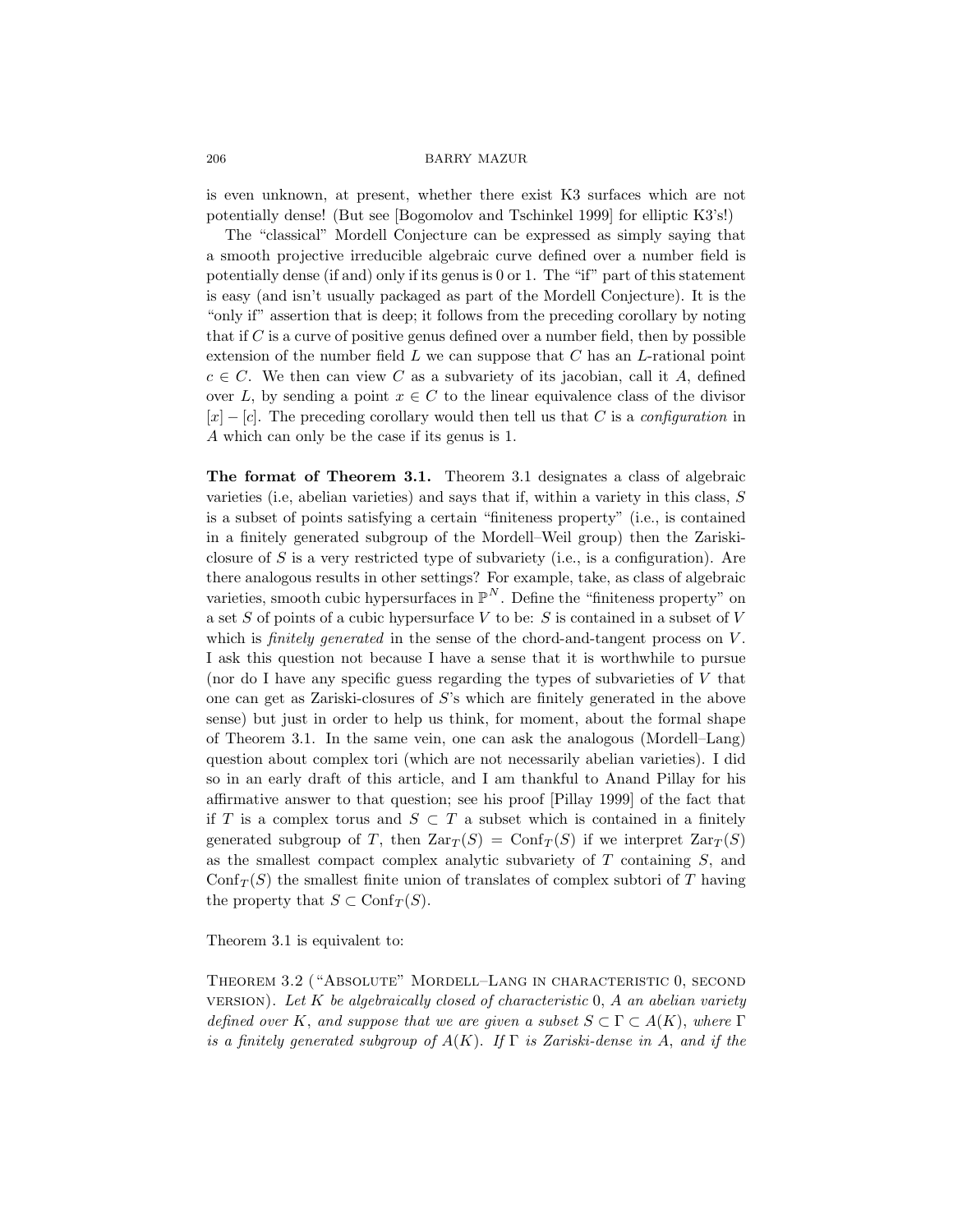is even unknown, at present, whether there exist K3 surfaces which are not potentially dense! (But see [Bogomolov and Tschinkel 1999] for elliptic K3's!)

The "classical" Mordell Conjecture can be expressed as simply saying that a smooth projective irreducible algebraic curve defined over a number field is potentially dense (if and) only if its genus is 0 or 1. The "if" part of this statement is easy (and isn't usually packaged as part of the Mordell Conjecture). It is the "only if" assertion that is deep; it follows from the preceding corollary by noting that if  $C$  is a curve of positive genus defined over a number field, then by possible extension of the number field  $L$  we can suppose that  $C$  has an  $L$ -rational point  $c \in C$ . We then can view C as a subvariety of its jacobian, call it A, defined over L, by sending a point  $x \in C$  to the linear equivalence class of the divisor  $[x] - [c]$ . The preceding corollary would then tell us that C is a configuration in A which can only be the case if its genus is 1.

The format of Theorem 3.1. Theorem 3.1 designates a class of algebraic varieties (i.e, abelian varieties) and says that if, within a variety in this class,  $S$ is a subset of points satisfying a certain "finiteness property" (i.e., is contained in a finitely generated subgroup of the Mordell–Weil group) then the Zariskiclosure of S is a very restricted type of subvariety (i.e., is a configuration). Are there analogous results in other settings? For example, take, as class of algebraic varieties, smooth cubic hypersurfaces in  $\mathbb{P}^N$ . Define the "finiteness property" on a set  $S$  of points of a cubic hypersurface  $V$  to be:  $S$  is contained in a subset of  $V$ which is *finitely generated* in the sense of the chord-and-tangent process on  $V$ . I ask this question not because I have a sense that it is worthwhile to pursue (nor do I have any specific guess regarding the types of subvarieties of  $V$  that one can get as Zariski-closures of S's which are finitely generated in the above sense) but just in order to help us think, for moment, about the formal shape of Theorem 3.1. In the same vein, one can ask the analogous (Mordell–Lang) question about complex tori (which are not necessarily abelian varieties). I did so in an early draft of this article, and I am thankful to Anand Pillay for his affirmative answer to that question; see his proof [Pillay 1999] of the fact that if T is a complex torus and  $S \subset T$  a subset which is contained in a finitely generated subgroup of T, then  $\text{Zar}_T(S) = \text{Conf}_T(S)$  if we interpret  $\text{Zar}_T(S)$ as the smallest compact complex analytic subvariety of  $T$  containing  $S$ , and  $\text{Conf}_T(S)$  the smallest finite union of translates of complex subtori of T having the property that  $S \subset \text{Conf}_T(S)$ .

Theorem 3.1 is equivalent to:

Theorem 3.2 ("Absolute" Mordell–Lang in characteristic 0, second VERSION). Let  $K$  be algebraically closed of characteristic  $0, A$  an abelian variety defined over K, and suppose that we are given a subset  $S \subset \Gamma \subset A(K)$ , where  $\Gamma$ is a finitely generated subgroup of  $A(K)$ . If  $\Gamma$  is Zariski-dense in A, and if the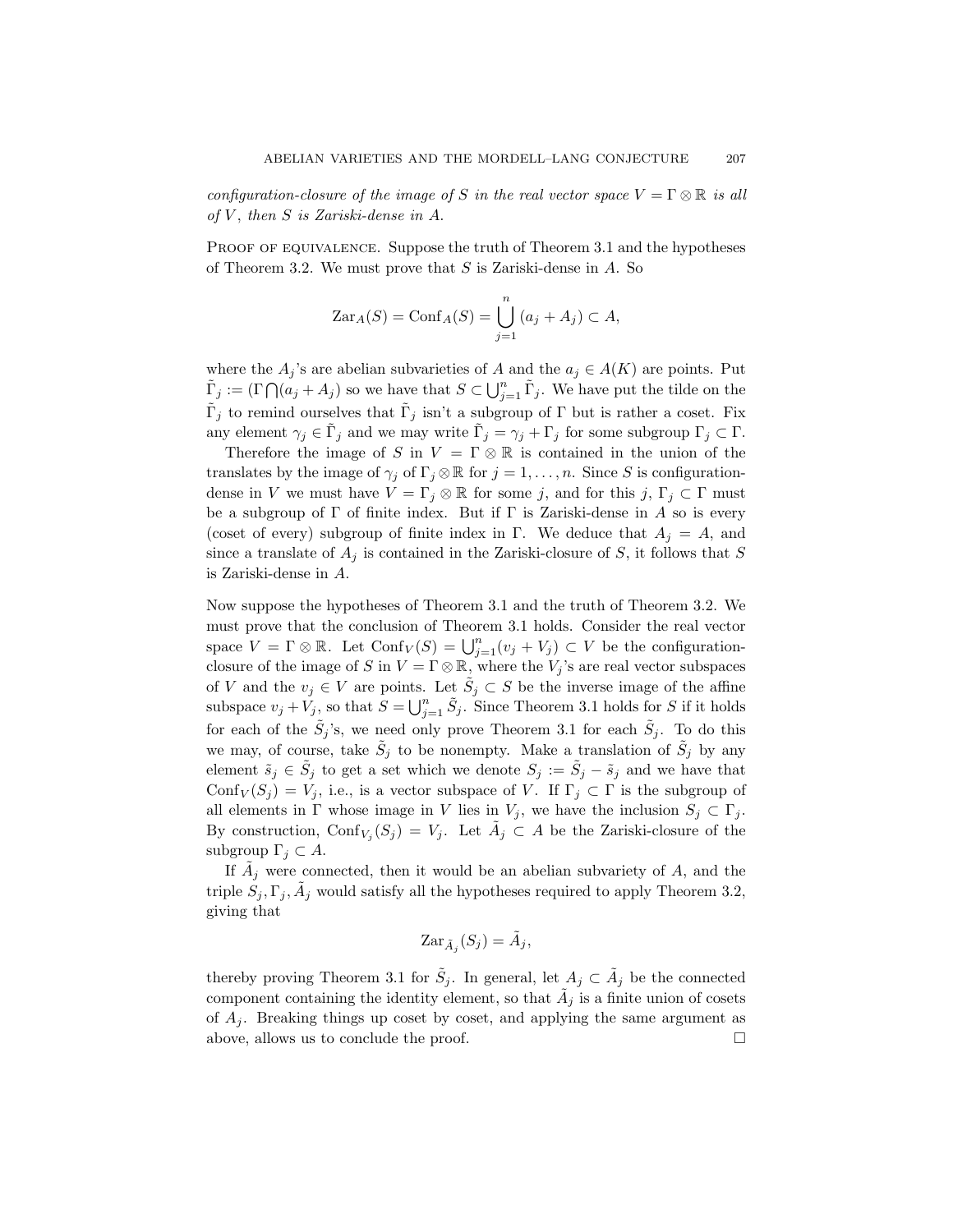configuration-closure of the image of S in the real vector space  $V = \Gamma \otimes \mathbb{R}$  is all of  $V$ , then  $S$  is Zariski-dense in  $A$ .

PROOF OF EQUIVALENCE. Suppose the truth of Theorem 3.1 and the hypotheses of Theorem 3.2. We must prove that  $S$  is Zariski-dense in  $A$ . So

$$
\mathrm{Zar}_A(S) = \mathrm{Conf}_A(S) = \bigcup_{j=1}^n (a_j + A_j) \subset A,
$$

where the  $A_j$ 's are abelian subvarieties of A and the  $a_j \in A(K)$  are points. Put  $\tilde{\Gamma}_j := (\Gamma \bigcap (a_j + A_j))$  so we have that  $S \subset \bigcup_{j=1}^n \tilde{\Gamma}_j$ . We have put the tilde on the  $\tilde{\Gamma}_j$  to remind ourselves that  $\tilde{\Gamma}_j$  isn't a subgroup of  $\Gamma$  but is rather a coset. Fix any element  $\gamma_j \in \tilde{\Gamma}_j$  and we may write  $\tilde{\Gamma}_j = \gamma_j + \Gamma_j$  for some subgroup  $\Gamma_j \subset \Gamma$ .

Therefore the image of S in  $V = \Gamma \otimes \mathbb{R}$  is contained in the union of the translates by the image of  $\gamma_i$  of  $\Gamma_i \otimes \mathbb{R}$  for  $j = 1, \ldots, n$ . Since S is configurationdense in V we must have  $V = \Gamma_j \otimes \mathbb{R}$  for some j, and for this j,  $\Gamma_j \subset \Gamma$  must be a subgroup of  $\Gamma$  of finite index. But if  $\Gamma$  is Zariski-dense in A so is every (coset of every) subgroup of finite index in Γ. We deduce that  $A_i = A$ , and since a translate of  $A_j$  is contained in the Zariski-closure of S, it follows that S is Zariski-dense in A.

Now suppose the hypotheses of Theorem 3.1 and the truth of Theorem 3.2. We must prove that the conclusion of Theorem 3.1 holds. Consider the real vector space  $V = \Gamma \otimes \mathbb{R}$ . Let  $\text{Conf}_V(S) = \bigcup_{j=1}^n (v_j + V_j) \subset V$  be the configurationclosure of the image of S in  $V = \Gamma \otimes \mathbb{R}$ , where the  $V_j$ 's are real vector subspaces of V and the  $v_j \in V$  are points. Let  $\tilde{S}_j \subset S$  be the inverse image of the affine subspace  $v_j + \check{V}_j$ , so that  $S = \bigcup_{j=1}^n \tilde{S}_j$ . Since Theorem 3.1 holds for S if it holds for each of the  $\tilde{S}_j$ 's, we need only prove Theorem 3.1 for each  $\tilde{S}_j$ . To do this we may, of course, take  $\tilde{S}_j$  to be nonempty. Make a translation of  $\tilde{S}_j$  by any element  $\tilde{s}_j \in \tilde{S}_j$  to get a set which we denote  $S_j := \tilde{S}_j - \tilde{s}_j$  and we have that Conf $V(S_j) = V_j$ , i.e., is a vector subspace of V. If  $\Gamma_j \subset \Gamma$  is the subgroup of all elements in  $\Gamma$  whose image in V lies in  $V_j$ , we have the inclusion  $S_j \subset \Gamma_j$ . By construction,  $\text{Conf}_{V_j}(S_j) = V_j$ . Let  $\tilde{A}_j \subset A$  be the Zariski-closure of the subgroup  $\Gamma_i \subset A$ .

If  $\tilde{A}_j$  were connected, then it would be an abelian subvariety of A, and the triple  $S_j$ ,  $\Gamma_j$ ,  $\tilde{A}_j$  would satisfy all the hypotheses required to apply Theorem 3.2, giving that

$$
\mathrm{Zar}_{\tilde{A}_j}(S_j) = \tilde{A}_j,
$$

thereby proving Theorem 3.1 for  $\tilde{S}_j$ . In general, let  $A_j \subset \tilde{A}_j$  be the connected component containing the identity element, so that  $\tilde{A}_j$  is a finite union of cosets of  $A_i$ . Breaking things up coset by coset, and applying the same argument as above, allows us to conclude the proof.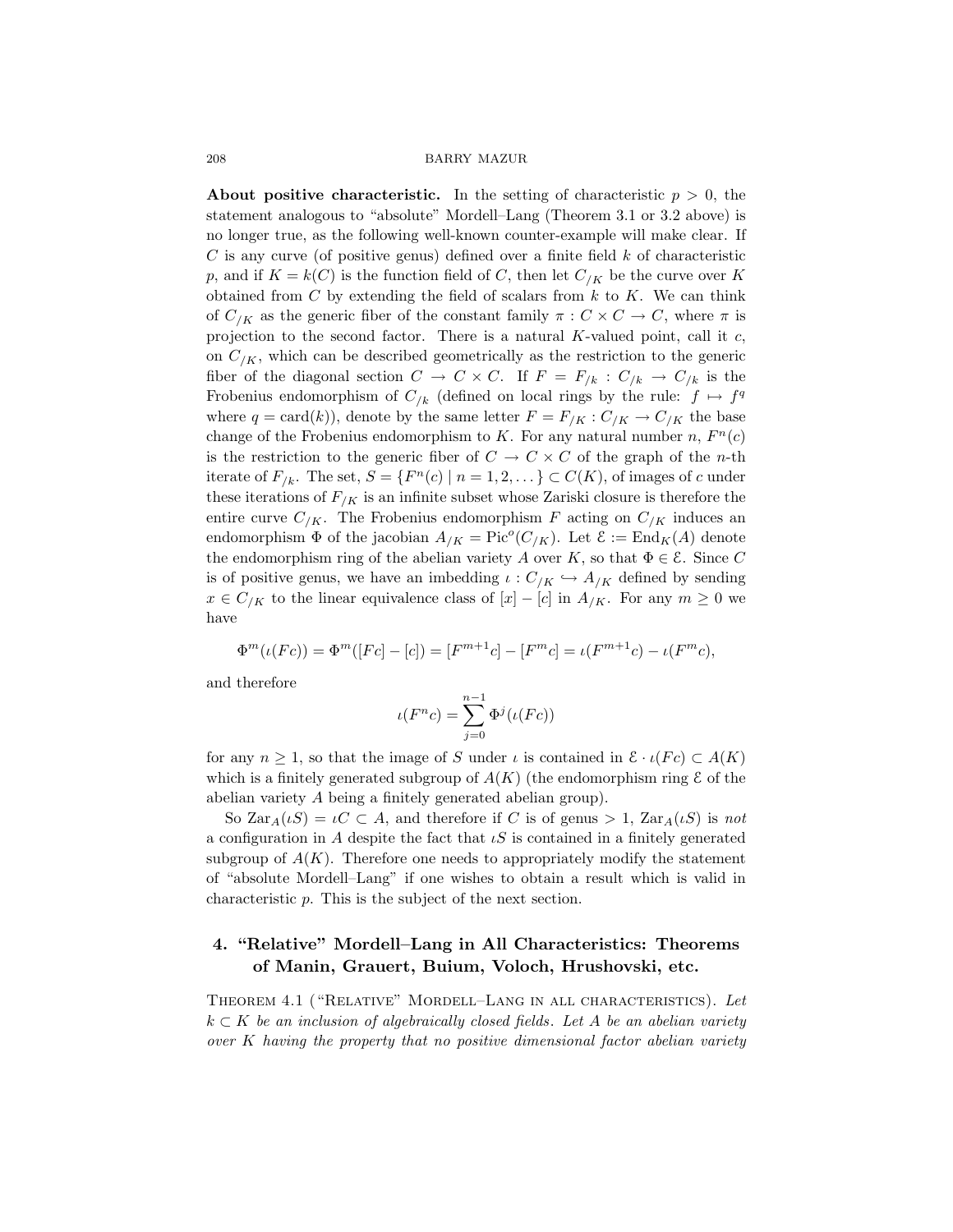About positive characteristic. In the setting of characteristic  $p > 0$ , the statement analogous to "absolute" Mordell–Lang (Theorem 3.1 or 3.2 above) is no longer true, as the following well-known counter-example will make clear. If  $C$  is any curve (of positive genus) defined over a finite field  $k$  of characteristic p, and if  $K = k(C)$  is the function field of C, then let  $C_{/K}$  be the curve over K obtained from  $C$  by extending the field of scalars from  $k$  to  $K$ . We can think of  $C_{/K}$  as the generic fiber of the constant family  $\pi : C \times C \to C$ , where  $\pi$  is projection to the second factor. There is a natural  $K$ -valued point, call it  $c$ , on  $C_{/K}$ , which can be described geometrically as the restriction to the generic fiber of the diagonal section  $C \to C \times C$ . If  $F = F_{/k} : C_{/k} \to C_{/k}$  is the Frobenius endomorphism of  $C_{/k}$  (defined on local rings by the rule:  $f \mapsto f^q$ where  $q = \text{card}(k)$ , denote by the same letter  $F = F_{/K} : C_{/K} \to C_{/K}$  the base change of the Frobenius endomorphism to K. For any natural number  $n, F<sup>n</sup>(c)$ is the restriction to the generic fiber of  $C \to C \times C$  of the graph of the *n*-th iterate of  $F_{/k}$ . The set,  $S = \{F^n(c) \mid n = 1, 2, ...\} \subset C(K)$ , of images of c under these iterations of  $F_{/K}$  is an infinite subset whose Zariski closure is therefore the entire curve  $C_{/K}$ . The Frobenius endomorphism F acting on  $C_{/K}$  induces an endomorphism  $\Phi$  of the jacobian  $A_{/K} = Pic^{o}(C_{/K})$ . Let  $\mathcal{E} := End_{K}(A)$  denote the endomorphism ring of the abelian variety A over K, so that  $\Phi \in \mathcal{E}$ . Since C is of positive genus, we have an imbedding  $\iota: C_{/K} \hookrightarrow A_{/K}$  defined by sending  $x \in C_{/K}$  to the linear equivalence class of  $[x] - [c]$  in  $A_{/K}$ . For any  $m \geq 0$  we have

$$
\Phi^m(\iota(Fc)) = \Phi^m([Fc] - [c]) = [F^{m+1}c] - [F^mc] = \iota(F^{m+1}c) - \iota(F^mc),
$$

and therefore

$$
\iota(F^nc)=\sum_{j=0}^{n-1}\Phi^j(\iota(Fc))
$$

for any  $n \geq 1$ , so that the image of S under  $\iota$  is contained in  $\mathcal{E} \cdot \iota(Fc) \subset A(K)$ which is a finitely generated subgroup of  $A(K)$  (the endomorphism ring  $\mathcal E$  of the abelian variety A being a finitely generated abelian group).

So  $\text{Zar}_A(\iota S) = \iota C \subset A$ , and therefore if C is of genus > 1,  $\text{Zar}_A(\iota S)$  is not a configuration in A despite the fact that  $\iota S$  is contained in a finitely generated subgroup of  $A(K)$ . Therefore one needs to appropriately modify the statement of "absolute Mordell–Lang" if one wishes to obtain a result which is valid in characteristic p. This is the subject of the next section.

# 4. "Relative" Mordell–Lang in All Characteristics: Theorems of Manin, Grauert, Buium, Voloch, Hrushovski, etc.

THEOREM 4.1 ("RELATIVE" MORDELL-LANG IN ALL CHARACTERISTICS). Let  $k \subset K$  be an inclusion of algebraically closed fields. Let A be an abelian variety over K having the property that no positive dimensional factor abelian variety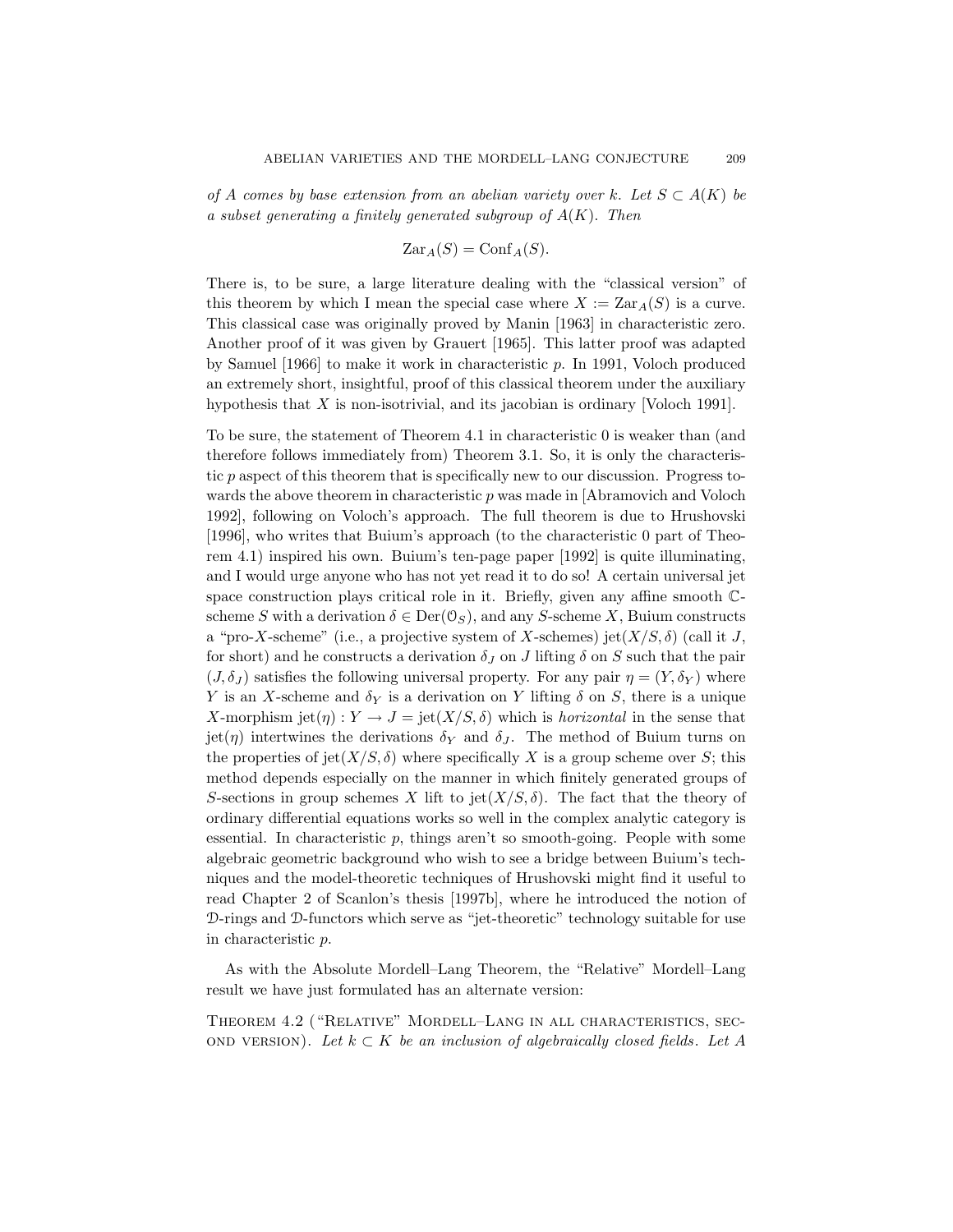of A comes by base extension from an abelian variety over k. Let  $S \subset A(K)$  be a subset generating a finitely generated subgroup of  $A(K)$ . Then

$$
\mathrm{Zar}_A(S) = \mathrm{Conf}_A(S).
$$

There is, to be sure, a large literature dealing with the "classical version" of this theorem by which I mean the special case where  $X := \text{Zar}_{A}(S)$  is a curve. This classical case was originally proved by Manin [1963] in characteristic zero. Another proof of it was given by Grauert [1965]. This latter proof was adapted by Samuel [1966] to make it work in characteristic p. In 1991, Voloch produced an extremely short, insightful, proof of this classical theorem under the auxiliary hypothesis that X is non-isotrivial, and its jacobian is ordinary [Voloch 1991].

To be sure, the statement of Theorem 4.1 in characteristic 0 is weaker than (and therefore follows immediately from) Theorem 3.1. So, it is only the characteristic p aspect of this theorem that is specifically new to our discussion. Progress towards the above theorem in characteristic  $p$  was made in [Abramovich and Voloch 1992], following on Voloch's approach. The full theorem is due to Hrushovski [1996], who writes that Buium's approach (to the characteristic 0 part of Theorem 4.1) inspired his own. Buium's ten-page paper [1992] is quite illuminating, and I would urge anyone who has not yet read it to do so! A certain universal jet space construction plays critical role in it. Briefly, given any affine smooth Cscheme S with a derivation  $\delta \in \text{Der}(\mathcal{O}_S)$ , and any S-scheme X, Buium constructs a "pro-X-scheme" (i.e., a projective system of X-schemes) jet( $X/S$ ,  $\delta$ ) (call it J, for short) and he constructs a derivation  $\delta_J$  on J lifting  $\delta$  on S such that the pair  $(J, \delta_J)$  satisfies the following universal property. For any pair  $\eta = (Y, \delta_Y)$  where Y is an X-scheme and  $\delta_Y$  is a derivation on Y lifting  $\delta$  on S, there is a unique X-morphism jet( $\eta$ ) :  $Y \to J = \text{jet}(X/S, \delta)$  which is *horizontal* in the sense that jet(η) intertwines the derivations  $\delta_Y$  and  $\delta_J$ . The method of Buium turns on the properties of jet $(X/S, \delta)$  where specifically X is a group scheme over S; this method depends especially on the manner in which finitely generated groups of S-sections in group schemes X lift to jet( $X/S$ ,  $\delta$ ). The fact that the theory of ordinary differential equations works so well in the complex analytic category is essential. In characteristic  $p$ , things aren't so smooth-going. People with some algebraic geometric background who wish to see a bridge between Buium's techniques and the model-theoretic techniques of Hrushovski might find it useful to read Chapter 2 of Scanlon's thesis [1997b], where he introduced the notion of D-rings and D-functors which serve as "jet-theoretic" technology suitable for use in characteristic p.

As with the Absolute Mordell–Lang Theorem, the "Relative" Mordell–Lang result we have just formulated has an alternate version:

Theorem 4.2 ("Relative" Mordell–Lang in all characteristics, sec-OND VERSION). Let  $k \subset K$  be an inclusion of algebraically closed fields. Let A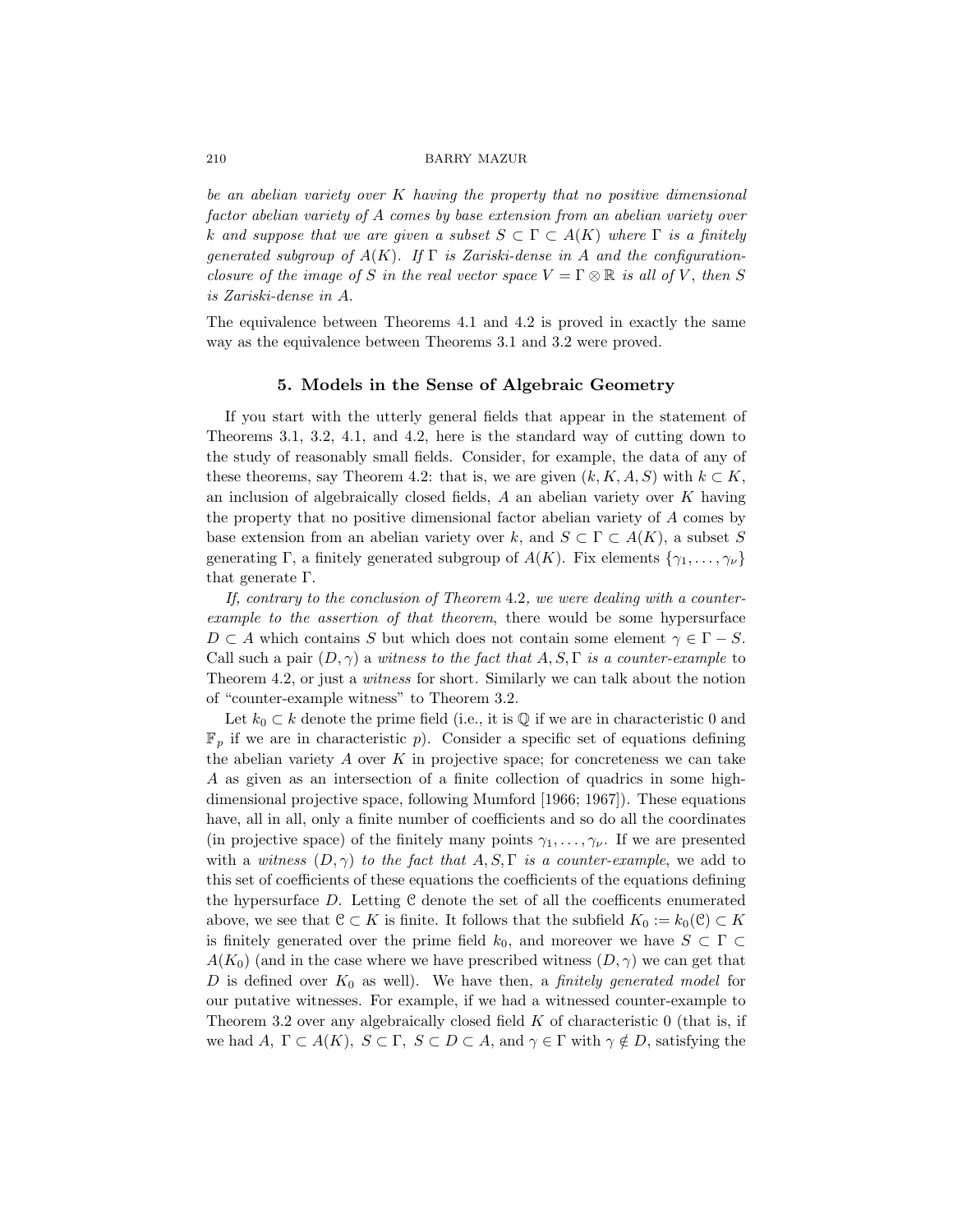be an abelian variety over K having the property that no positive dimensional factor abelian variety of A comes by base extension from an abelian variety over k and suppose that we are given a subset  $S \subset \Gamma \subset A(K)$  where  $\Gamma$  is a finitely generated subgroup of  $A(K)$ . If  $\Gamma$  is Zariski-dense in A and the configurationclosure of the image of S in the real vector space  $V = \Gamma \otimes \mathbb{R}$  is all of V, then S is Zariski-dense in A.

The equivalence between Theorems 4.1 and 4.2 is proved in exactly the same way as the equivalence between Theorems 3.1 and 3.2 were proved.

#### 5. Models in the Sense of Algebraic Geometry

If you start with the utterly general fields that appear in the statement of Theorems 3.1, 3.2, 4.1, and 4.2, here is the standard way of cutting down to the study of reasonably small fields. Consider, for example, the data of any of these theorems, say Theorem 4.2: that is, we are given  $(k, K, A, S)$  with  $k \subset K$ , an inclusion of algebraically closed fields,  $A$  an abelian variety over  $K$  having the property that no positive dimensional factor abelian variety of A comes by base extension from an abelian variety over k, and  $S \subset \Gamma \subset A(K)$ , a subset S generating Γ, a finitely generated subgroup of  $A(K)$ . Fix elements  $\{\gamma_1, \ldots, \gamma_{\nu}\}\$ that generate Γ.

If, contrary to the conclusion of Theorem 4.2, we were dealing with a counterexample to the assertion of that theorem, there would be some hypersurface  $D \subset A$  which contains S but which does not contain some element  $\gamma \in \Gamma - S$ . Call such a pair  $(D, \gamma)$  a witness to the fact that  $A, S, \Gamma$  is a counter-example to Theorem 4.2, or just a *witness* for short. Similarly we can talk about the notion of "counter-example witness" to Theorem 3.2.

Let  $k_0 \subset k$  denote the prime field (i.e., it is  $\mathbb Q$  if we are in characteristic 0 and  $\mathbb{F}_p$  if we are in characteristic p). Consider a specific set of equations defining the abelian variety  $A$  over  $K$  in projective space; for concreteness we can take A as given as an intersection of a finite collection of quadrics in some highdimensional projective space, following Mumford [1966; 1967]). These equations have, all in all, only a finite number of coefficients and so do all the coordinates (in projective space) of the finitely many points  $\gamma_1, \ldots, \gamma_{\nu}$ . If we are presented with a witness  $(D, \gamma)$  to the fact that  $A, S, \Gamma$  is a counter-example, we add to this set of coefficients of these equations the coefficients of the equations defining the hypersurface  $D$ . Letting  $C$  denote the set of all the coefficents enumerated above, we see that  $\mathcal{C} \subset K$  is finite. It follows that the subfield  $K_0 := k_0(\mathcal{C}) \subset K$ is finitely generated over the prime field  $k_0$ , and moreover we have  $S \subset \Gamma \subset$  $A(K_0)$  (and in the case where we have prescribed witness  $(D, \gamma)$  we can get that D is defined over  $K_0$  as well). We have then, a *finitely generated model* for our putative witnesses. For example, if we had a witnessed counter-example to Theorem 3.2 over any algebraically closed field  $K$  of characteristic 0 (that is, if we had A,  $\Gamma \subset A(K)$ ,  $S \subset \Gamma$ ,  $S \subset D \subset A$ , and  $\gamma \in \Gamma$  with  $\gamma \notin D$ , satisfying the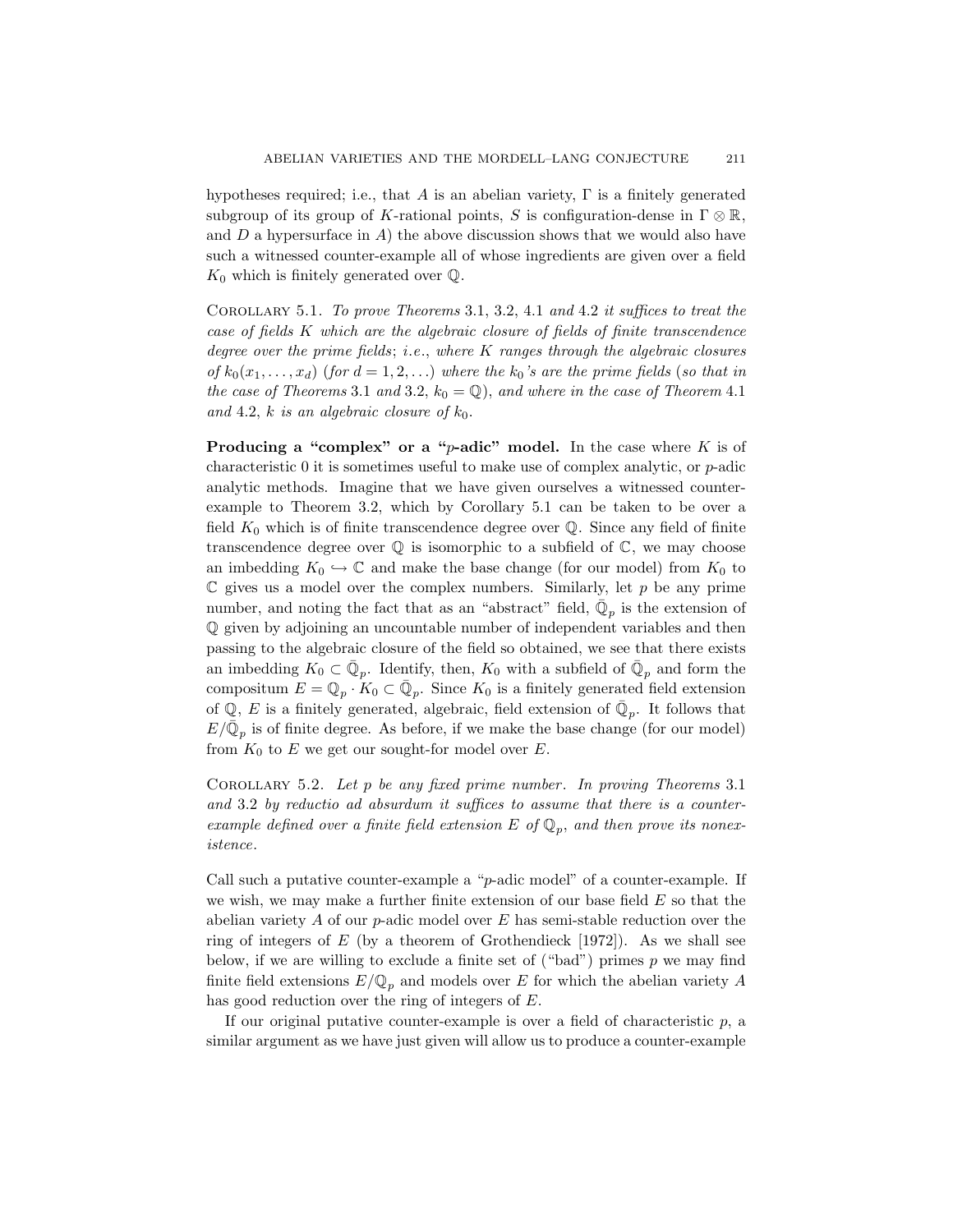hypotheses required; i.e., that A is an abelian variety,  $\Gamma$  is a finitely generated subgroup of its group of K-rational points, S is configuration-dense in  $\Gamma \otimes \mathbb{R}$ , and  $D$  a hypersurface in  $A$ ) the above discussion shows that we would also have such a witnessed counter-example all of whose ingredients are given over a field  $K_0$  which is finitely generated over  $\mathbb{Q}$ .

COROLLARY 5.1. To prove Theorems 3.1, 3.2, 4.1 and 4.2 it suffices to treat the case of fields K which are the algebraic closure of fields of finite transcendence degree over the prime fields; i.e., where  $K$  ranges through the algebraic closures of  $k_0(x_1, \ldots, x_d)$  (for  $d = 1, 2, \ldots$ ) where the  $k_0$ 's are the prime fields (so that in the case of Theorems 3.1 and 3.2,  $k_0 = \mathbb{Q}$ , and where in the case of Theorem 4.1 and 4.2, k is an algebraic closure of  $k_0$ .

**Producing a "complex" or a "p-adic" model.** In the case where K is of characteristic  $\overline{0}$  it is sometimes useful to make use of complex analytic, or  $p$ -adic analytic methods. Imagine that we have given ourselves a witnessed counterexample to Theorem 3.2, which by Corollary 5.1 can be taken to be over a field  $K_0$  which is of finite transcendence degree over  $\mathbb Q$ . Since any field of finite transcendence degree over  $\mathbb Q$  is isomorphic to a subfield of  $\mathbb C$ , we may choose an imbedding  $K_0 \hookrightarrow \mathbb{C}$  and make the base change (for our model) from  $K_0$  to  $\mathbb C$  gives us a model over the complex numbers. Similarly, let  $p$  be any prime number, and noting the fact that as an "abstract" field,  $\overline{\mathbb{Q}}_p$  is the extension of Q given by adjoining an uncountable number of independent variables and then passing to the algebraic closure of the field so obtained, we see that there exists an imbedding  $K_0 \subset \overline{\mathbb{Q}}_p$ . Identify, then,  $K_0$  with a subfield of  $\overline{\mathbb{Q}}_p$  and form the compositum  $E = \mathbb{Q}_p \cdot K_0 \subset \bar{\mathbb{Q}}_p$ . Since  $K_0$  is a finitely generated field extension of  $\mathbb{Q}, E$  is a finitely generated, algebraic, field extension of  $\bar{\mathbb{Q}}_p$ . It follows that  $E/\bar{\mathbb{Q}}_p$  is of finite degree. As before, if we make the base change (for our model) from  $K_0$  to E we get our sought-for model over E.

COROLLARY 5.2. Let  $p$  be any fixed prime number. In proving Theorems 3.1 and 3.2 by reductio ad absurdum it suffices to assume that there is a counterexample defined over a finite field extension E of  $\mathbb{Q}_p$ , and then prove its nonexistence.

Call such a putative counter-example a " $p$ -adic model" of a counter-example. If we wish, we may make a further finite extension of our base field  $E$  so that the abelian variety  $\Lambda$  of our p-adic model over  $E$  has semi-stable reduction over the ring of integers of  $E$  (by a theorem of Grothendieck [1972]). As we shall see below, if we are willing to exclude a finite set of ("bad") primes  $p$  we may find finite field extensions  $E/\mathbb{Q}_p$  and models over E for which the abelian variety A has good reduction over the ring of integers of E.

If our original putative counter-example is over a field of characteristic  $p$ , a similar argument as we have just given will allow us to produce a counter-example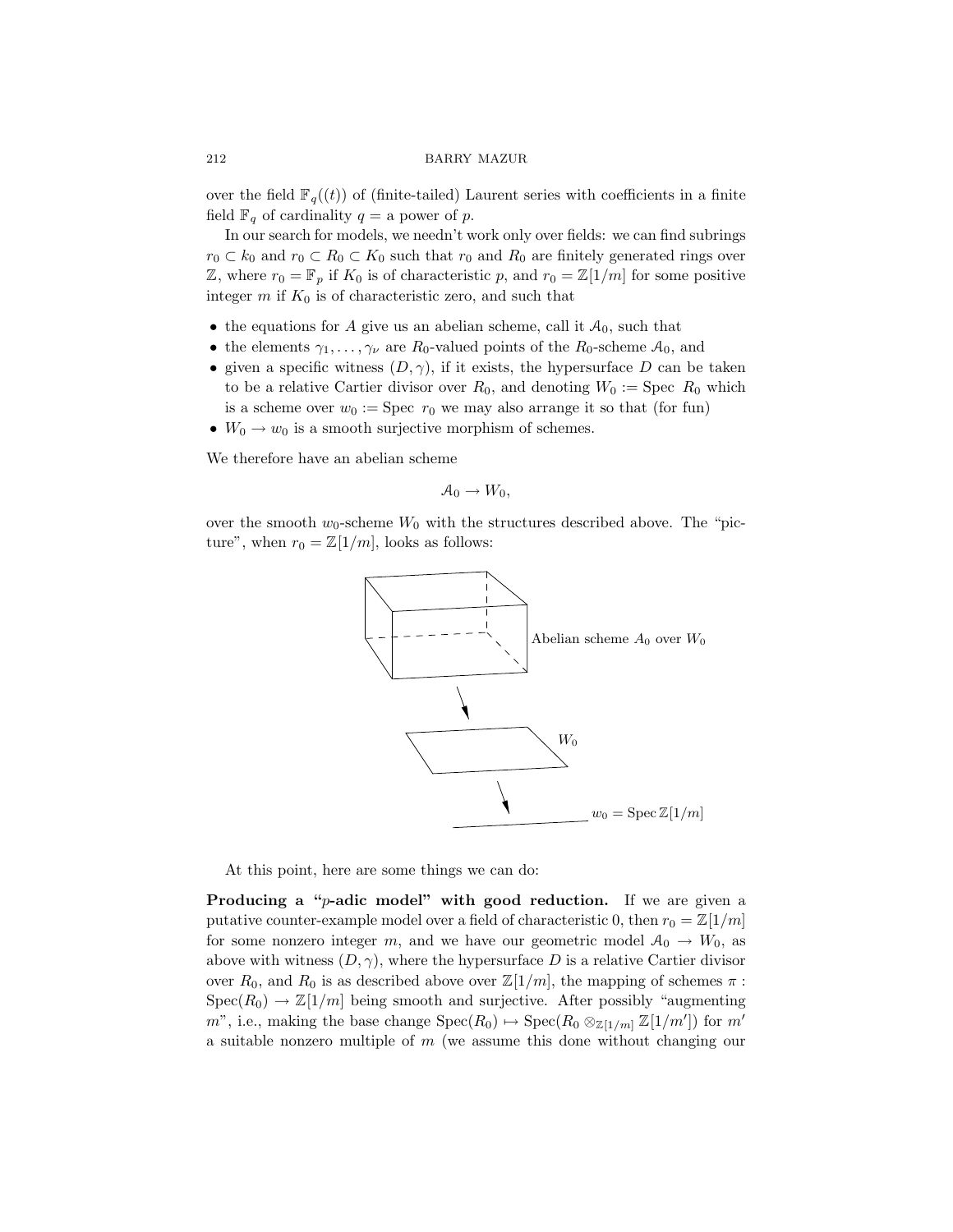over the field  $\mathbb{F}_q((t))$  of (finite-tailed) Laurent series with coefficients in a finite field  $\mathbb{F}_q$  of cardinality  $q = a$  power of p.

In our search for models, we needn't work only over fields: we can find subrings  $r_0 \subset k_0$  and  $r_0 \subset R_0 \subset K_0$  such that  $r_0$  and  $R_0$  are finitely generated rings over Z, where  $r_0 = \mathbb{F}_p$  if  $K_0$  is of characteristic p, and  $r_0 = \mathbb{Z}[1/m]$  for some positive integer  $m$  if  $K_0$  is of characteristic zero, and such that

- the equations for A give us an abelian scheme, call it  $A_0$ , such that
- the elements  $\gamma_1, \ldots, \gamma_\nu$  are  $R_0$ -valued points of the  $R_0$ -scheme  $\mathcal{A}_0$ , and
- given a specific witness  $(D, \gamma)$ , if it exists, the hypersurface D can be taken to be a relative Cartier divisor over  $R_0$ , and denoting  $W_0 := \text{Spec } R_0$  which is a scheme over  $w_0 := \text{Spec } r_0$  we may also arrange it so that (for fun)
- $W_0 \to w_0$  is a smooth surjective morphism of schemes.

We therefore have an abelian scheme

$$
\mathcal{A}_0 \to W_0,
$$

over the smooth  $w_0$ -scheme  $W_0$  with the structures described above. The "picture", when  $r_0 = \mathbb{Z}[1/m]$ , looks as follows:



At this point, here are some things we can do:

**Producing a "p-adic model" with good reduction.** If we are given a putative counter-example model over a field of characteristic 0, then  $r_0 = \mathbb{Z}[1/m]$ for some nonzero integer m, and we have our geometric model  $A_0 \rightarrow W_0$ , as above with witness  $(D, \gamma)$ , where the hypersurface D is a relative Cartier divisor over  $R_0$ , and  $R_0$  is as described above over  $\mathbb{Z}[1/m]$ , the mapping of schemes  $\pi$ :  $Spec(R_0) \to \mathbb{Z}[1/m]$  being smooth and surjective. After possibly "augmenting" m", i.e., making the base change  $Spec(R_0) \rightarrow Spec(R_0 \otimes_{\mathbb{Z}[1/m]} \mathbb{Z}[1/m'])$  for m' a suitable nonzero multiple of  $m$  (we assume this done without changing our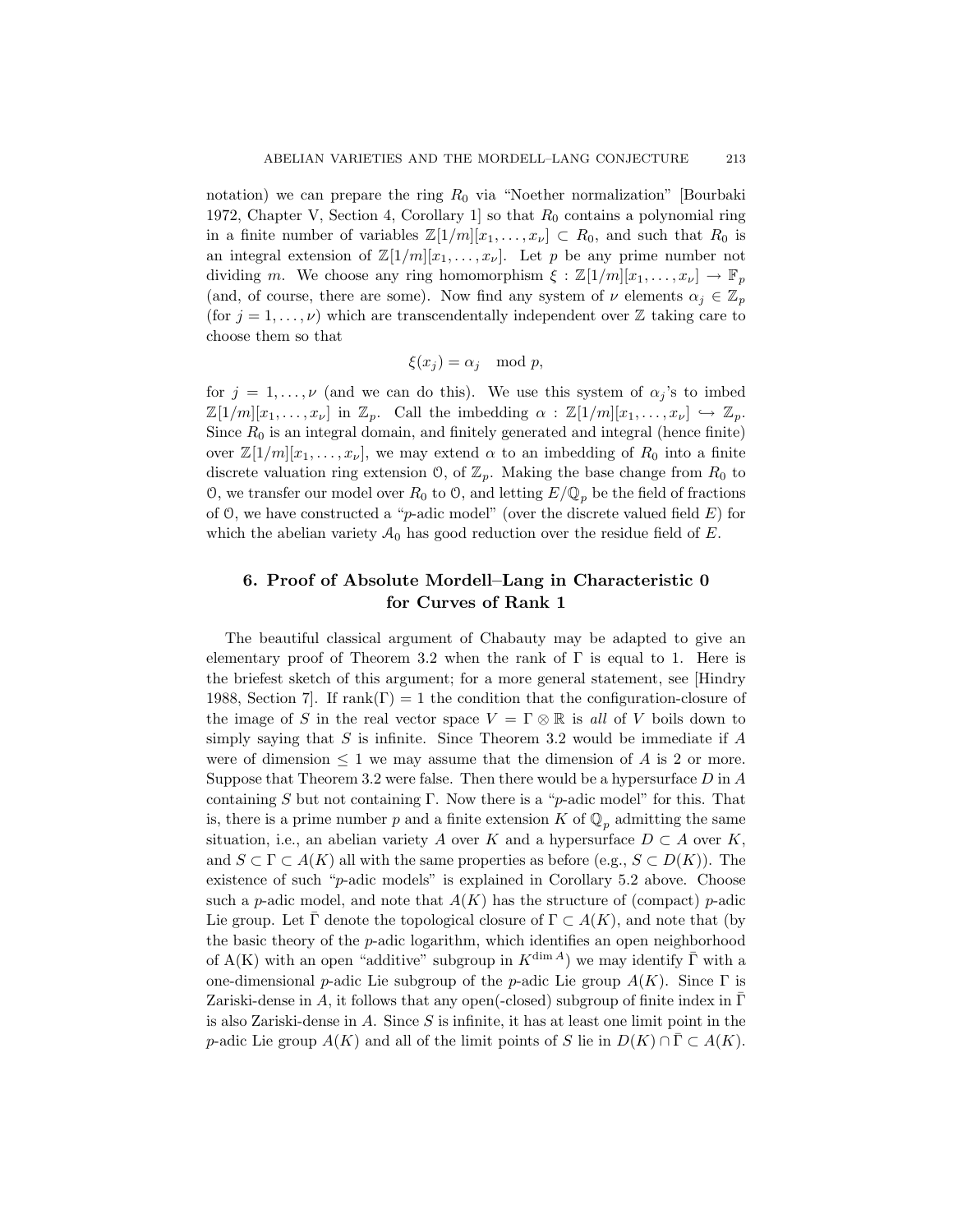notation) we can prepare the ring  $R_0$  via "Noether normalization" [Bourbaki 1972, Chapter V, Section 4, Corollary 1 so that  $R_0$  contains a polynomial ring in a finite number of variables  $\mathbb{Z}[1/m][x_1,\ldots,x_{\nu}]\subset R_0$ , and such that  $R_0$  is an integral extension of  $\mathbb{Z}[1/m][x_1, \ldots, x_{\nu}]$ . Let p be any prime number not dividing m. We choose any ring homomorphism  $\xi : \mathbb{Z}[1/m][x_1, \ldots, x_{\nu}] \to \mathbb{F}_p$ (and, of course, there are some). Now find any system of  $\nu$  elements  $\alpha_j \in \mathbb{Z}_p$ (for  $j = 1, ..., \nu$ ) which are transcendentally independent over Z taking care to choose them so that

$$
\xi(x_j) = \alpha_j \mod p,
$$

for  $j = 1, \ldots, \nu$  (and we can do this). We use this system of  $\alpha_j$ 's to imbed  $\mathbb{Z}[1/m][x_1,\ldots,x_\nu]$  in  $\mathbb{Z}_p$ . Call the imbedding  $\alpha : \mathbb{Z}[1/m][x_1,\ldots,x_\nu] \hookrightarrow \mathbb{Z}_p$ . Since  $R_0$  is an integral domain, and finitely generated and integral (hence finite) over  $\mathbb{Z}[1/m][x_1,\ldots,x_{\nu}],$  we may extend  $\alpha$  to an imbedding of  $R_0$  into a finite discrete valuation ring extension  $\mathcal{O}$ , of  $\mathbb{Z}_p$ . Making the base change from  $R_0$  to O, we transfer our model over  $R_0$  to O, and letting  $E/\mathbb{Q}_p$  be the field of fractions of  $\Theta$ , we have constructed a "p-adic model" (over the discrete valued field  $E$ ) for which the abelian variety  $\mathcal{A}_0$  has good reduction over the residue field of E.

# 6. Proof of Absolute Mordell–Lang in Characteristic 0 for Curves of Rank 1

The beautiful classical argument of Chabauty may be adapted to give an elementary proof of Theorem 3.2 when the rank of  $\Gamma$  is equal to 1. Here is the briefest sketch of this argument; for a more general statement, see [Hindry 1988, Section 7. If  $rank(\Gamma) = 1$  the condition that the configuration-closure of the image of S in the real vector space  $V = \Gamma \otimes \mathbb{R}$  is all of V boils down to simply saying that  $S$  is infinite. Since Theorem 3.2 would be immediate if  $A$ were of dimension  $\leq 1$  we may assume that the dimension of A is 2 or more. Suppose that Theorem 3.2 were false. Then there would be a hypersurface  $D$  in  $A$ containing S but not containing Γ. Now there is a "p-adic model" for this. That is, there is a prime number p and a finite extension K of  $\mathbb{Q}_p$  admitting the same situation, i.e., an abelian variety A over K and a hypersurface  $D \subset A$  over K, and  $S \subset \Gamma \subset A(K)$  all with the same properties as before (e.g.,  $S \subset D(K)$ ). The existence of such "p-adic models" is explained in Corollary 5.2 above. Choose such a p-adic model, and note that  $A(K)$  has the structure of (compact) p-adic Lie group. Let  $\Gamma$  denote the topological closure of  $\Gamma \subset A(K)$ , and note that (by the basic theory of the p-adic logarithm, which identifies an open neighborhood of A(K) with an open "additive" subgroup in  $K^{\dim A}$ ) we may identify  $\overline{\Gamma}$  with a one-dimensional p-adic Lie subgroup of the p-adic Lie group  $A(K)$ . Since  $\Gamma$  is Zariski-dense in A, it follows that any open(-closed) subgroup of finite index in  $\Gamma$ is also Zariski-dense in  $A$ . Since  $S$  is infinite, it has at least one limit point in the p-adic Lie group  $A(K)$  and all of the limit points of S lie in  $D(K) \cap \overline{\Gamma} \subset A(K)$ .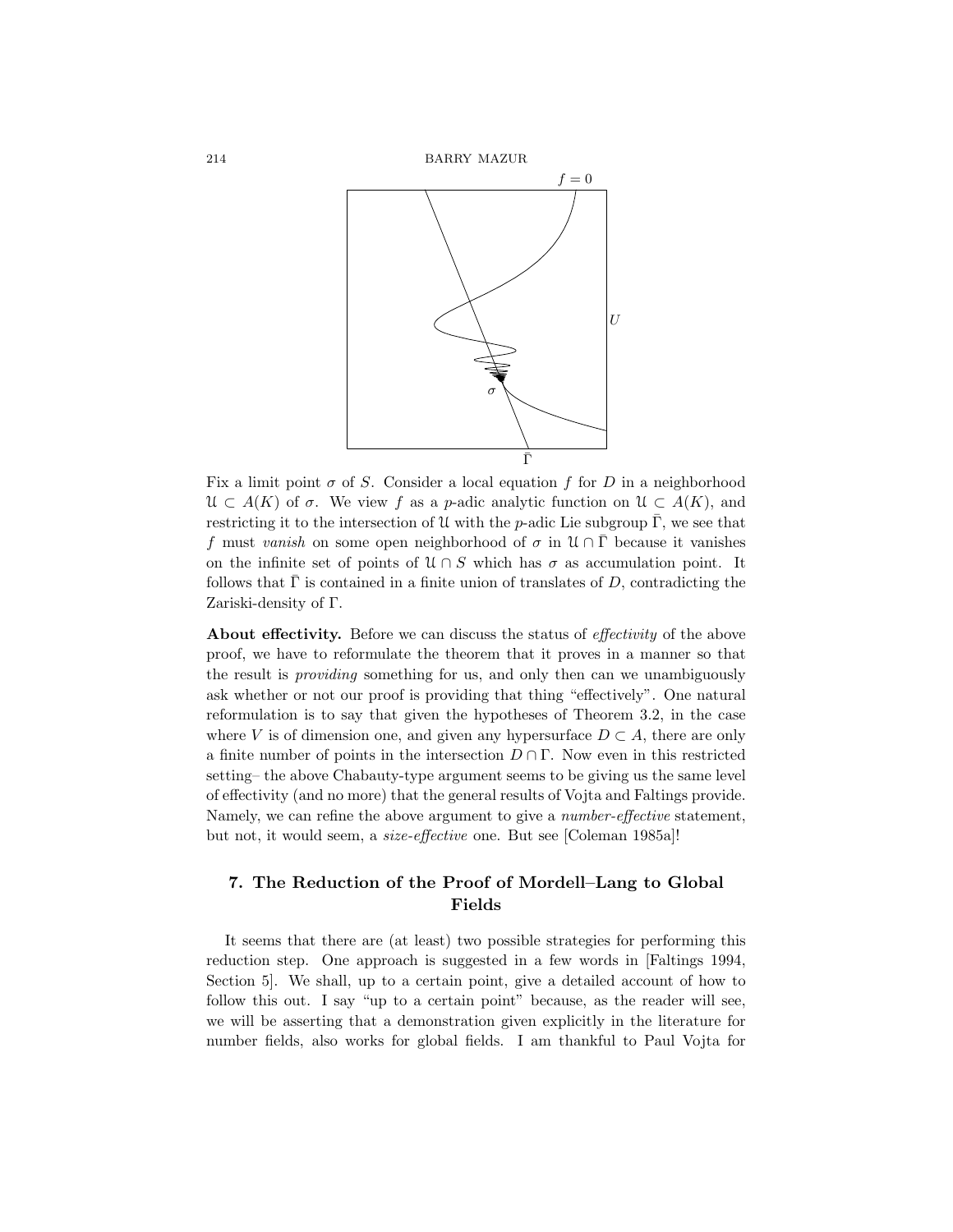

Fix a limit point  $\sigma$  of S. Consider a local equation f for D in a neighborhood  $\mathcal{U} \subset A(K)$  of  $\sigma$ . We view f as a p-adic analytic function on  $\mathcal{U} \subset A(K)$ , and restricting it to the intersection of U with the p-adic Lie subgroup  $\overline{\Gamma}$ , we see that f must vanish on some open neighborhood of  $\sigma$  in  $\mathcal{U} \cap \overline{\Gamma}$  because it vanishes on the infinite set of points of  $\mathcal{U} \cap S$  which has  $\sigma$  as accumulation point. It follows that  $\overline{\Gamma}$  is contained in a finite union of translates of D, contradicting the Zariski-density of Γ.

About effectivity. Before we can discuss the status of effectivity of the above proof, we have to reformulate the theorem that it proves in a manner so that the result is providing something for us, and only then can we unambiguously ask whether or not our proof is providing that thing "effectively". One natural reformulation is to say that given the hypotheses of Theorem 3.2, in the case where V is of dimension one, and given any hypersurface  $D \subset A$ , there are only a finite number of points in the intersection  $D \cap \Gamma$ . Now even in this restricted setting– the above Chabauty-type argument seems to be giving us the same level of effectivity (and no more) that the general results of Vojta and Faltings provide. Namely, we can refine the above argument to give a *number-effective* statement, but not, it would seem, a size-effective one. But see [Coleman 1985a]!

# 7. The Reduction of the Proof of Mordell–Lang to Global Fields

It seems that there are (at least) two possible strategies for performing this reduction step. One approach is suggested in a few words in [Faltings 1994, Section 5]. We shall, up to a certain point, give a detailed account of how to follow this out. I say "up to a certain point" because, as the reader will see, we will be asserting that a demonstration given explicitly in the literature for number fields, also works for global fields. I am thankful to Paul Vojta for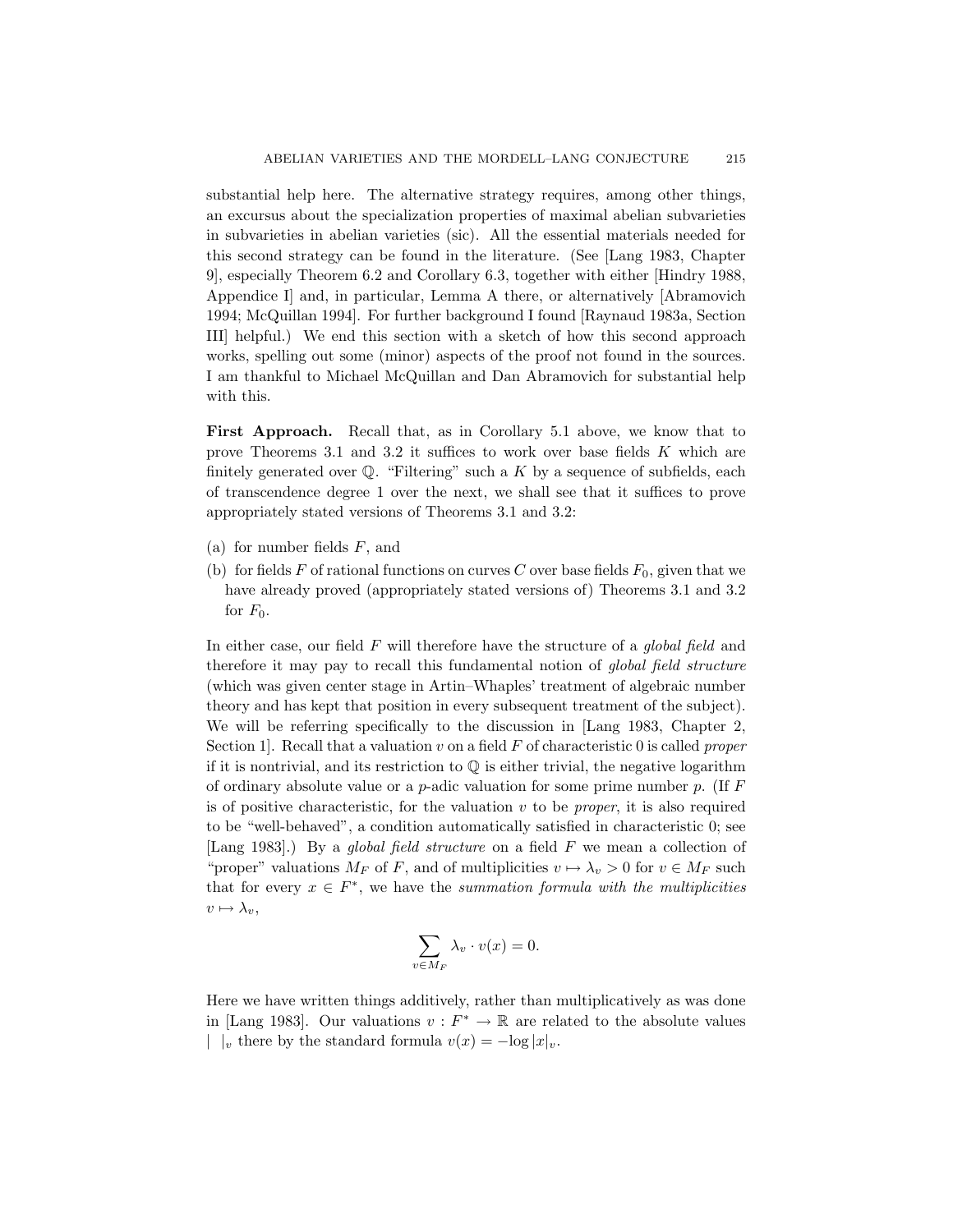substantial help here. The alternative strategy requires, among other things, an excursus about the specialization properties of maximal abelian subvarieties in subvarieties in abelian varieties (sic). All the essential materials needed for this second strategy can be found in the literature. (See [Lang 1983, Chapter 9], especially Theorem 6.2 and Corollary 6.3, together with either [Hindry 1988, Appendice I] and, in particular, Lemma A there, or alternatively [Abramovich 1994; McQuillan 1994]. For further background I found [Raynaud 1983a, Section III] helpful.) We end this section with a sketch of how this second approach works, spelling out some (minor) aspects of the proof not found in the sources. I am thankful to Michael McQuillan and Dan Abramovich for substantial help with this.

First Approach. Recall that, as in Corollary 5.1 above, we know that to prove Theorems 3.1 and 3.2 it suffices to work over base fields  $K$  which are finitely generated over  $\mathbb{Q}$ . "Filtering" such a K by a sequence of subfields, each of transcendence degree 1 over the next, we shall see that it suffices to prove appropriately stated versions of Theorems 3.1 and 3.2:

- (a) for number fields  $F$ , and
- (b) for fields F of rational functions on curves C over base fields  $F_0$ , given that we have already proved (appropriately stated versions of) Theorems 3.1 and 3.2 for  $F_0$ .

In either case, our field  $F$  will therefore have the structure of a global field and therefore it may pay to recall this fundamental notion of *global field structure* (which was given center stage in Artin–Whaples' treatment of algebraic number theory and has kept that position in every subsequent treatment of the subject). We will be referring specifically to the discussion in [Lang 1983, Chapter 2, Section 1. Recall that a valuation v on a field  $F$  of characteristic 0 is called proper if it is nontrivial, and its restriction to  $\mathbb Q$  is either trivial, the negative logarithm of ordinary absolute value or a  $p$ -adic valuation for some prime number  $p$ . (If  $F$ is of positive characteristic, for the valuation  $v$  to be *proper*, it is also required to be "well-behaved", a condition automatically satisfied in characteristic 0; see [Lang 1983].) By a *global field structure* on a field F we mean a collection of "proper" valuations  $M_F$  of F, and of multiplicities  $v \mapsto \lambda_v > 0$  for  $v \in M_F$  such that for every  $x \in F^*$ , we have the summation formula with the multiplicities  $v \mapsto \lambda_v,$ 

$$
\sum_{v \in M_F} \lambda_v \cdot v(x) = 0.
$$

Here we have written things additively, rather than multiplicatively as was done in [Lang 1983]. Our valuations  $v : F^* \to \mathbb{R}$  are related to the absolute values |  $|_v$  there by the standard formula  $v(x) = -\log |x|_v$ .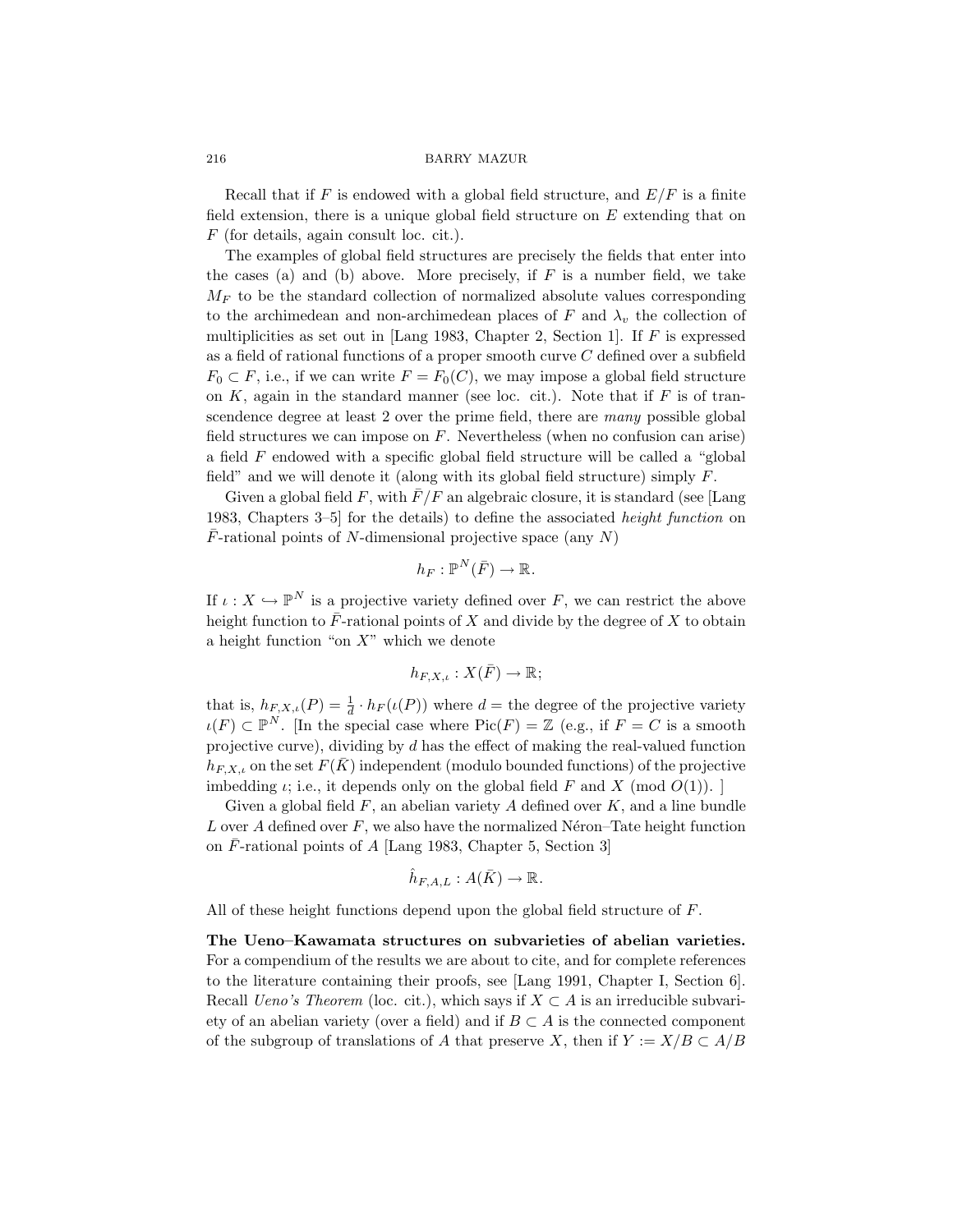Recall that if F is endowed with a global field structure, and  $E/F$  is a finite field extension, there is a unique global field structure on  $E$  extending that on F (for details, again consult loc. cit.).

The examples of global field structures are precisely the fields that enter into the cases (a) and (b) above. More precisely, if  $F$  is a number field, we take  $M_F$  to be the standard collection of normalized absolute values corresponding to the archimedean and non-archimedean places of F and  $\lambda_v$  the collection of multiplicities as set out in [Lang 1983, Chapter 2, Section 1]. If  $F$  is expressed as a field of rational functions of a proper smooth curve C defined over a subfield  $F_0 \subset F$ , i.e., if we can write  $F = F_0(C)$ , we may impose a global field structure on  $K$ , again in the standard manner (see loc. cit.). Note that if  $F$  is of transcendence degree at least 2 over the prime field, there are *many* possible global field structures we can impose on  $F$ . Nevertheless (when no confusion can arise) a field  $F$  endowed with a specific global field structure will be called a "global" field" and we will denote it (along with its global field structure) simply  $F$ .

Given a global field F, with  $\bar{F}/F$  an algebraic closure, it is standard (see [Lang 1983, Chapters 3–5] for the details) to define the associated height function on  $\overline{F}$ -rational points of N-dimensional projective space (any N)

$$
h_F: \mathbb{P}^N(\bar{F}) \to \mathbb{R}.
$$

If  $\iota: X \hookrightarrow \mathbb{P}^N$  is a projective variety defined over F, we can restrict the above height function to  $\bar{F}$ -rational points of X and divide by the degree of X to obtain a height function "on  $X$ " which we denote

$$
h_{F,X,\iota}:X(\bar{F})\to\mathbb{R};
$$

that is,  $h_{F,X,\iota}(P) = \frac{1}{d} \cdot h_F(\iota(P))$  where  $d =$  the degree of the projective variety  $u(F) \subset \mathbb{P}^N$ . [In the special case where  $Pic(F) = \mathbb{Z}$  (e.g., if  $F = C$  is a smooth projective curve), dividing by d has the effect of making the real-valued function  $h_{F,X,\iota}$  on the set  $F(K)$  independent (modulo bounded functions) of the projective imbedding  $\iota$ ; i.e., it depends only on the global field F and X (mod  $O(1)$ ).

Given a global field  $F$ , an abelian variety  $A$  defined over  $K$ , and a line bundle L over A defined over  $F$ , we also have the normalized Néron–Tate height function on  $\overline{F}$ -rational points of A [Lang 1983, Chapter 5, Section 3]

$$
\hat{h}_{F,A,L}:A(\bar{K})\to\mathbb{R}.
$$

All of these height functions depend upon the global field structure of F.

The Ueno–Kawamata structures on subvarieties of abelian varieties. For a compendium of the results we are about to cite, and for complete references to the literature containing their proofs, see [Lang 1991, Chapter I, Section 6]. Recall *Ueno's Theorem* (loc. cit.), which says if  $X \subset A$  is an irreducible subvariety of an abelian variety (over a field) and if  $B \subset A$  is the connected component of the subgroup of translations of A that preserve X, then if  $Y := X/B \subset A/B$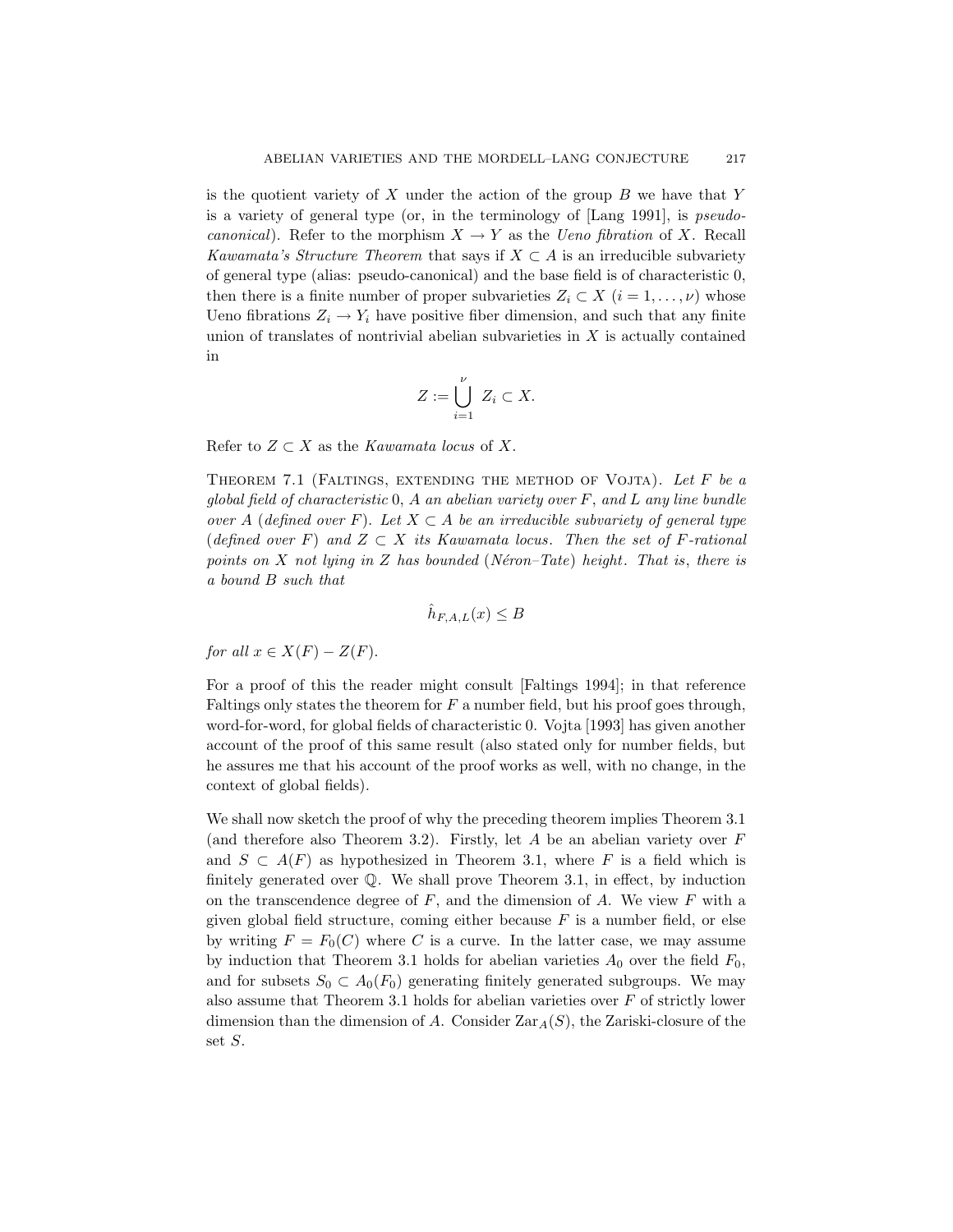is the quotient variety of  $X$  under the action of the group  $B$  we have that  $Y$ is a variety of general type (or, in the terminology of [Lang 1991], is pseudocanonical). Refer to the morphism  $X \to Y$  as the *Ueno fibration* of X. Recall Kawamata's Structure Theorem that says if  $X \subset A$  is an irreducible subvariety of general type (alias: pseudo-canonical) and the base field is of characteristic 0, then there is a finite number of proper subvarieties  $Z_i \subset X$   $(i = 1, \ldots, \nu)$  whose Ueno fibrations  $Z_i \to Y_i$  have positive fiber dimension, and such that any finite union of translates of nontrivial abelian subvarieties in  $X$  is actually contained in

$$
Z := \bigcup_{i=1}^{\nu} Z_i \subset X.
$$

Refer to  $Z \subset X$  as the Kawamata locus of X.

THEOREM 7.1 (FALTINGS, EXTENDING THE METHOD OF VOJTA). Let  $F$  be a global field of characteristic  $0, A$  an abelian variety over  $F$ , and  $L$  any line bundle over A (defined over F). Let  $X \subset A$  be an irreducible subvariety of general type (defined over F) and  $Z \subset X$  its Kawamata locus. Then the set of F-rational points on X not lying in Z has bounded (Néron–Tate) height. That is, there is a bound B such that

$$
\hat{h}_{F,A,L}(x) \le B
$$

for all  $x \in X(F) - Z(F)$ .

For a proof of this the reader might consult [Faltings 1994]; in that reference Faltings only states the theorem for  $F$  a number field, but his proof goes through, word-for-word, for global fields of characteristic 0. Vojta [1993] has given another account of the proof of this same result (also stated only for number fields, but he assures me that his account of the proof works as well, with no change, in the context of global fields).

We shall now sketch the proof of why the preceding theorem implies Theorem 3.1 (and therefore also Theorem 3.2). Firstly, let  $A$  be an abelian variety over  $F$ and  $S \subset A(F)$  as hypothesized in Theorem 3.1, where F is a field which is finitely generated over Q. We shall prove Theorem 3.1, in effect, by induction on the transcendence degree of  $F$ , and the dimension of  $A$ . We view  $F$  with a given global field structure, coming either because  $F$  is a number field, or else by writing  $F = F_0(C)$  where C is a curve. In the latter case, we may assume by induction that Theorem 3.1 holds for abelian varieties  $A_0$  over the field  $F_0$ , and for subsets  $S_0 \,\subset A_0(F_0)$  generating finitely generated subgroups. We may also assume that Theorem 3.1 holds for abelian varieties over  $F$  of strictly lower dimension than the dimension of A. Consider  $\text{Zar}_{A}(S)$ , the Zariski-closure of the set S.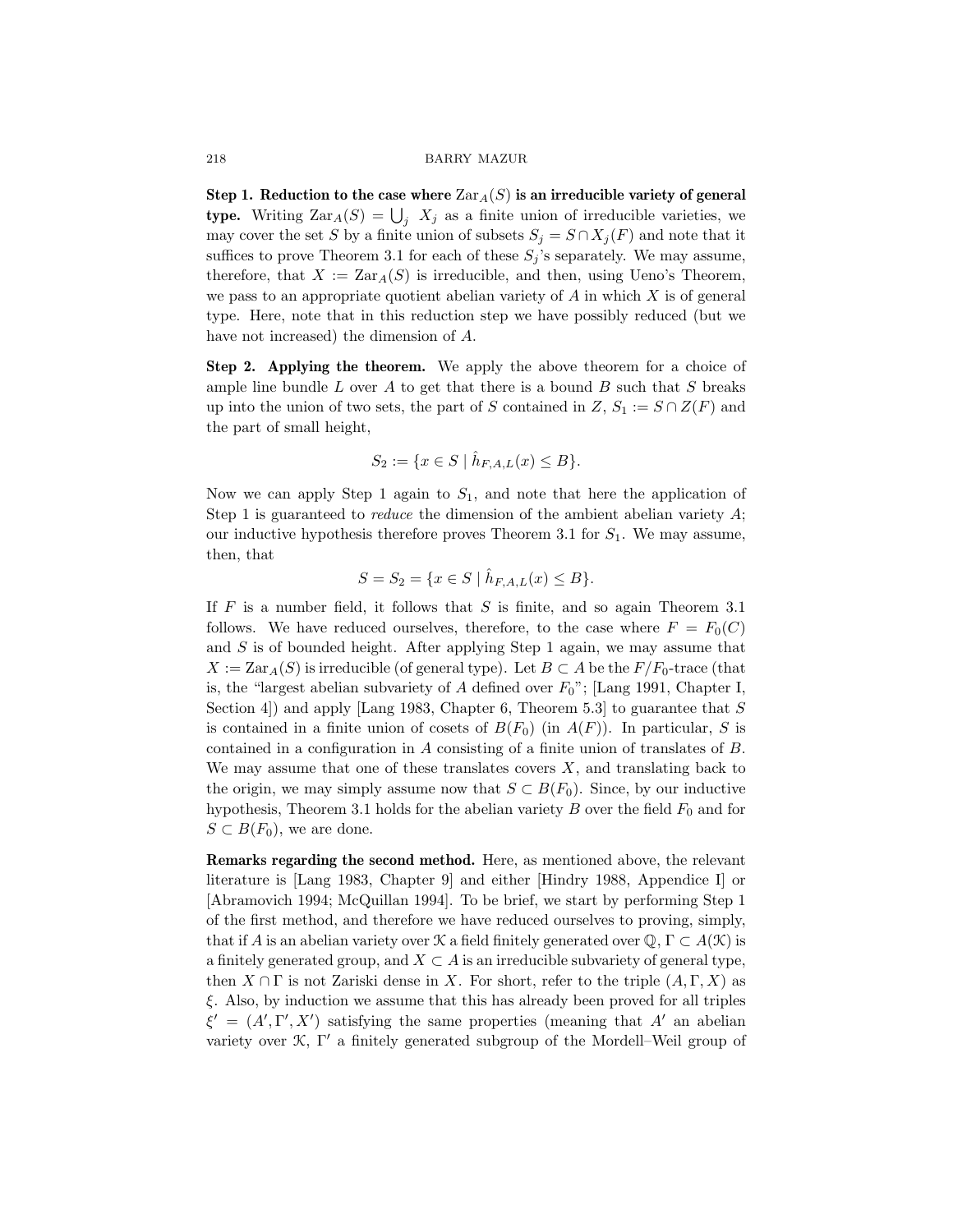Step 1. Reduction to the case where  $\text{Zar}_{A}(S)$  is an irreducible variety of general type. Writing  $\text{Zar}_A(S) = \bigcup_j X_j$  as a finite union of irreducible varieties, we may cover the set S by a finite union of subsets  $S_j = S \cap X_j(F)$  and note that it suffices to prove Theorem 3.1 for each of these  $S_i$ 's separately. We may assume, therefore, that  $X := \text{Zar}_A(S)$  is irreducible, and then, using Ueno's Theorem, we pass to an appropriate quotient abelian variety of  $A$  in which  $X$  is of general type. Here, note that in this reduction step we have possibly reduced (but we have not increased) the dimension of A.

Step 2. Applying the theorem. We apply the above theorem for a choice of ample line bundle  $L$  over  $A$  to get that there is a bound  $B$  such that  $S$  breaks up into the union of two sets, the part of S contained in  $Z, S_1 := S \cap Z(F)$  and the part of small height,

$$
S_2 := \{ x \in S \mid \hat{h}_{F,A,L}(x) \le B \}.
$$

Now we can apply Step 1 again to  $S_1$ , and note that here the application of Step 1 is guaranteed to *reduce* the dimension of the ambient abelian variety  $A$ ; our inductive hypothesis therefore proves Theorem 3.1 for  $S_1$ . We may assume, then, that

$$
S = S_2 = \{ x \in S \mid \hat{h}_{F,A,L}(x) \le B \}.
$$

If  $F$  is a number field, it follows that  $S$  is finite, and so again Theorem 3.1 follows. We have reduced ourselves, therefore, to the case where  $F = F_0(C)$ and  $S$  is of bounded height. After applying Step 1 again, we may assume that  $X := \text{Zar}_{A}(S)$  is irreducible (of general type). Let  $B \subset A$  be the  $F/F_0$ -trace (that is, the "largest abelian subvariety of A defined over  $F_0$ "; [Lang 1991, Chapter I, Section 4) and apply [Lang 1983, Chapter 6, Theorem 5.3] to guarantee that  $S$ is contained in a finite union of cosets of  $B(F_0)$  (in  $A(F)$ ). In particular, S is contained in a configuration in A consisting of a finite union of translates of B. We may assume that one of these translates covers  $X$ , and translating back to the origin, we may simply assume now that  $S \subset B(F_0)$ . Since, by our inductive hypothesis, Theorem 3.1 holds for the abelian variety  $B$  over the field  $F_0$  and for  $S \subset B(F_0)$ , we are done.

Remarks regarding the second method. Here, as mentioned above, the relevant literature is [Lang 1983, Chapter 9] and either [Hindry 1988, Appendice I] or [Abramovich 1994; McQuillan 1994]. To be brief, we start by performing Step 1 of the first method, and therefore we have reduced ourselves to proving, simply, that if A is an abelian variety over K a field finitely generated over  $\mathbb{Q}, \Gamma \subset A(\mathcal{K})$  is a finitely generated group, and  $X \subset A$  is an irreducible subvariety of general type, then  $X \cap \Gamma$  is not Zariski dense in X. For short, refer to the triple  $(A, \Gamma, X)$  as ξ. Also, by induction we assume that this has already been proved for all triples  $\xi' = (A', \Gamma', X')$  satisfying the same properties (meaning that A' an abelian variety over  $\mathcal{K}, \Gamma'$  a finitely generated subgroup of the Mordell–Weil group of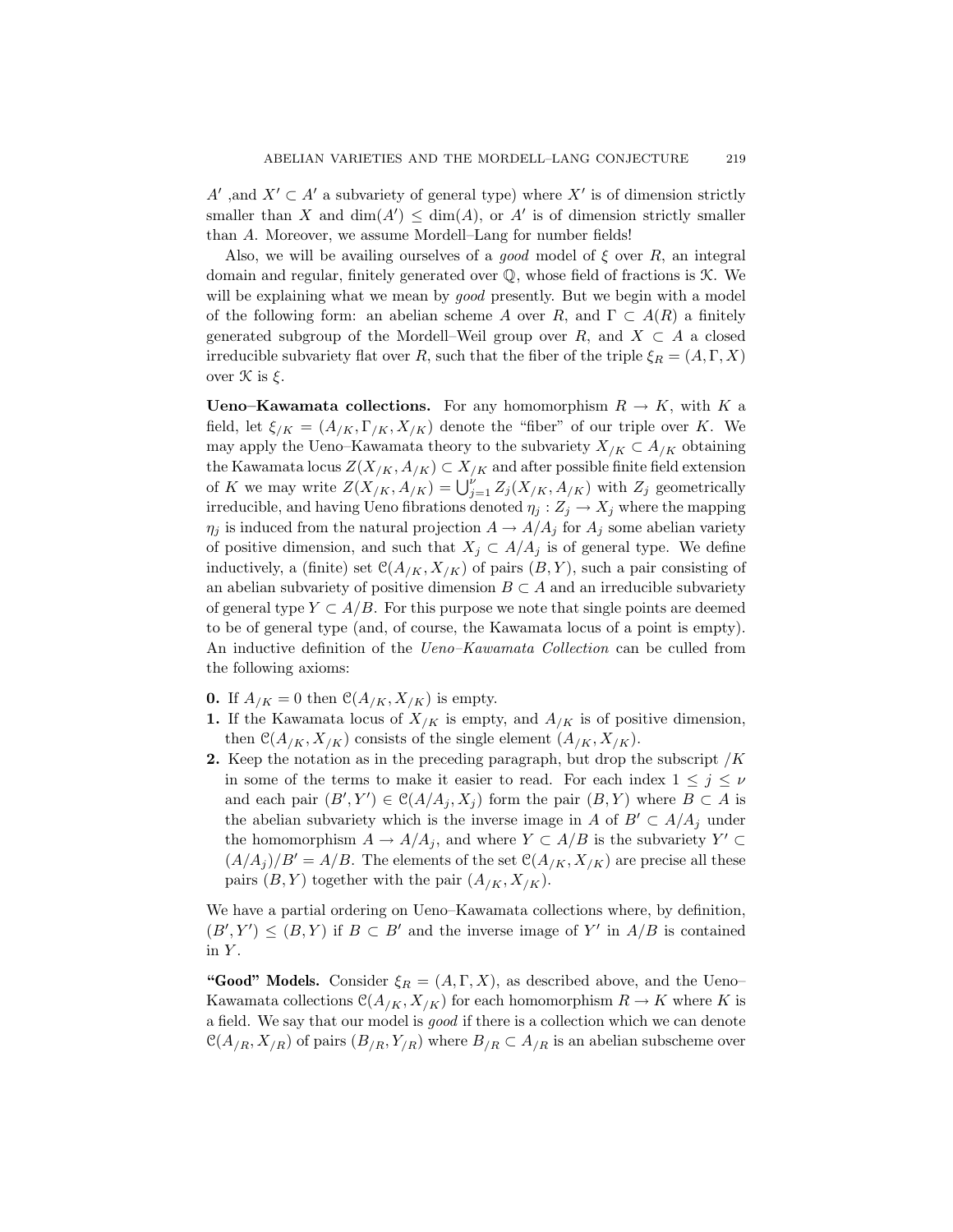A' ,and  $X' \subset A'$  a subvariety of general type) where X' is of dimension strictly smaller than X and  $\dim(A') \leq \dim(A)$ , or A' is of dimension strictly smaller than A. Moreover, we assume Mordell–Lang for number fields!

Also, we will be availing ourselves of a *good* model of  $\xi$  over R, an integral domain and regular, finitely generated over  $\mathbb{Q}$ , whose field of fractions is  $\mathcal{K}$ . We will be explaining what we mean by *good* presently. But we begin with a model of the following form: an abelian scheme A over R, and  $\Gamma \subset A(R)$  a finitely generated subgroup of the Mordell–Weil group over R, and  $X \subset A$  a closed irreducible subvariety flat over R, such that the fiber of the triple  $\xi_R = (A, \Gamma, X)$ over  $\mathcal K$  is  $\xi$ .

**Ueno–Kawamata collections.** For any homomorphism  $R \to K$ , with K a field, let  $\xi_{/K} = (A_{/K}, \Gamma_{/K}, X_{/K})$  denote the "fiber" of our triple over K. We may apply the Ueno–Kawamata theory to the subvariety  $X_{/K} \subset A_{/K}$  obtaining the Kawamata locus  $Z(X_{/K}, A_{/K}) \subset X_{/K}$  and after possible finite field extension of K we may write  $Z(X|K, A/K) = \bigcup_{j=1}^{k} Z_j(X/K, A/K)$  with  $Z_j$  geometrically irreducible, and having Ueno fibrations denoted  $\eta_j : Z_j \to X_j$  where the mapping  $\eta_i$  is induced from the natural projection  $A \to A/A_i$  for  $A_i$  some abelian variety of positive dimension, and such that  $X_j \subset A/A_j$  is of general type. We define inductively, a (finite) set  $\mathcal{C}(A_{/K}, X_{/K})$  of pairs  $(B, Y)$ , such a pair consisting of an abelian subvariety of positive dimension  $B \subset A$  and an irreducible subvariety of general type  $Y \subset A/B$ . For this purpose we note that single points are deemed to be of general type (and, of course, the Kawamata locus of a point is empty). An inductive definition of the *Ueno–Kawamata Collection* can be culled from the following axioms:

- **0.** If  $A_{/K} = 0$  then  $\mathcal{C}(A_{/K}, X_{/K})$  is empty.
- 1. If the Kawamata locus of  $X_{/K}$  is empty, and  $A_{/K}$  is of positive dimension, then  $\mathcal{C}(A_{/K}, X_{/K})$  consists of the single element  $(A_{/K}, X_{/K})$ .
- 2. Keep the notation as in the preceding paragraph, but drop the subscript  $/K$ in some of the terms to make it easier to read. For each index  $1 \leq j \leq \nu$ and each pair  $(B', Y') \in \mathcal{C}(A/A_j, X_j)$  form the pair  $(B, Y)$  where  $B \subset A$  is the abelian subvariety which is the inverse image in A of  $B' \subset A/A_j$  under the homomorphism  $A \to A/A_j$ , and where  $Y \subset A/B$  is the subvariety  $Y' \subset$  $(A/A_i)/B' = A/B$ . The elements of the set  $\mathcal{C}(A_{/K}, X_{/K})$  are precise all these pairs  $(B, Y)$  together with the pair  $(A_{/K}, X_{/K}).$

We have a partial ordering on Ueno–Kawamata collections where, by definition,  $(B', Y') \leq (B, Y)$  if  $B \subset B'$  and the inverse image of Y' in  $A/B$  is contained in  $Y$ .

"Good" Models. Consider  $\xi_R = (A, \Gamma, X)$ , as described above, and the Ueno-Kawamata collections  $\mathcal{C}(A_{/K}, X_{/K})$  for each homomorphism  $R \to K$  where K is a field. We say that our model is good if there is a collection which we can denote  $\mathcal{C}(A_{/R}, X_{/R})$  of pairs  $(B_{/R}, Y_{/R})$  where  $B_{/R} \subset A_{/R}$  is an abelian subscheme over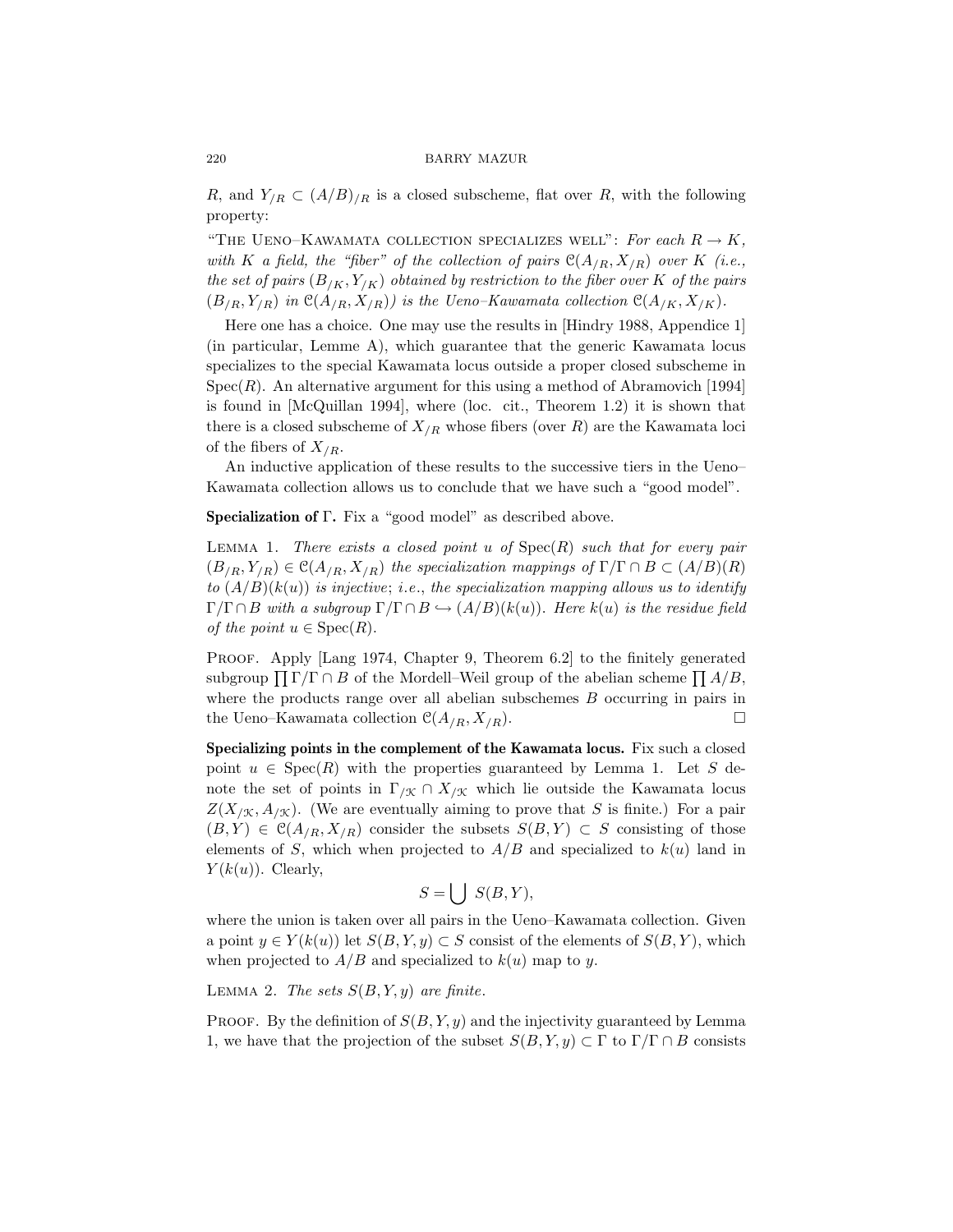R, and  $Y_{/R} \subset (A/B)_{/R}$  is a closed subscheme, flat over R, with the following property:

"THE UENO–KAWAMATA COLLECTION SPECIALIZES WELL": For each  $R \to K$ , with K a field, the "fiber" of the collection of pairs  $\mathcal{C}(A_{/R}, X_{/R})$  over K (i.e., the set of pairs  $(B_{/K}, Y_{/K})$  obtained by restriction to the fiber over K of the pairs  $(B_{/R}, Y_{/R})$  in  $\mathfrak{C}(A_{/R}, X_{/R})$  is the Ueno–Kawamata collection  $\mathfrak{C}(A_{/K}, X_{/K})$ .

Here one has a choice. One may use the results in [Hindry 1988, Appendice 1] (in particular, Lemme A), which guarantee that the generic Kawamata locus specializes to the special Kawamata locus outside a proper closed subscheme in  $Spec(R)$ . An alternative argument for this using a method of Abramovich [1994] is found in [McQuillan 1994], where (loc. cit., Theorem 1.2) it is shown that there is a closed subscheme of  $X_{/R}$  whose fibers (over R) are the Kawamata loci of the fibers of  $X_{/R}$ .

An inductive application of these results to the successive tiers in the Ueno– Kawamata collection allows us to conclude that we have such a "good model".

Specialization of Γ. Fix a "good model" as described above.

LEMMA 1. There exists a closed point  $u$  of  $Spec(R)$  such that for every pair  $(B_{/R}, Y_{/R}) \in \mathcal{C}(A_{/R}, X_{/R})$  the specialization mappings of  $\Gamma/\Gamma \cap B \subset (A/B)(R)$ to  $(A/B)(k(u))$  is injective; i.e., the specialization mapping allows us to identify  $\Gamma/\Gamma \cap B$  with a subgroup  $\Gamma/\Gamma \cap B \hookrightarrow (A/B)(k(u))$ . Here  $k(u)$  is the residue field of the point  $u \in \text{Spec}(R)$ .

PROOF. Apply [Lang 1974, Chapter 9, Theorem 6.2] to the finitely generated subgroup  $\prod \Gamma/\Gamma \cap B$  of the Mordell–Weil group of the abelian scheme  $\prod A/B$ , where the products range over all abelian subschemes  $B$  occurring in pairs in the Ueno–Kawamata collection  $\mathcal{C}(A_{/R}, X_{/R})$ .

Specializing points in the complement of the Kawamata locus. Fix such a closed point  $u \in \text{Spec}(R)$  with the properties guaranteed by Lemma 1. Let S denote the set of points in  $\Gamma_{/\mathfrak{X}} \cap X_{/\mathfrak{X}}$  which lie outside the Kawamata locus  $Z(X_{/\mathfrak{X}}, A_{/\mathfrak{X}})$ . (We are eventually aiming to prove that S is finite.) For a pair  $(B, Y) \in \mathcal{C}(A_{/R}, X_{/R})$  consider the subsets  $S(B, Y) \subset S$  consisting of those elements of S, which when projected to  $A/B$  and specialized to  $k(u)$  land in  $Y(k(u))$ . Clearly,

$$
S = \bigcup S(B, Y),
$$

where the union is taken over all pairs in the Ueno–Kawamata collection. Given a point  $y \in Y(k(u))$  let  $S(B, Y, y) \subset S$  consist of the elements of  $S(B, Y)$ , which when projected to  $A/B$  and specialized to  $k(u)$  map to y.

LEMMA 2. The sets  $S(B, Y, y)$  are finite.

PROOF. By the definition of  $S(B, Y, y)$  and the injectivity guaranteed by Lemma 1, we have that the projection of the subset  $S(B, Y, y) \subset \Gamma$  to  $\Gamma/\Gamma \cap B$  consists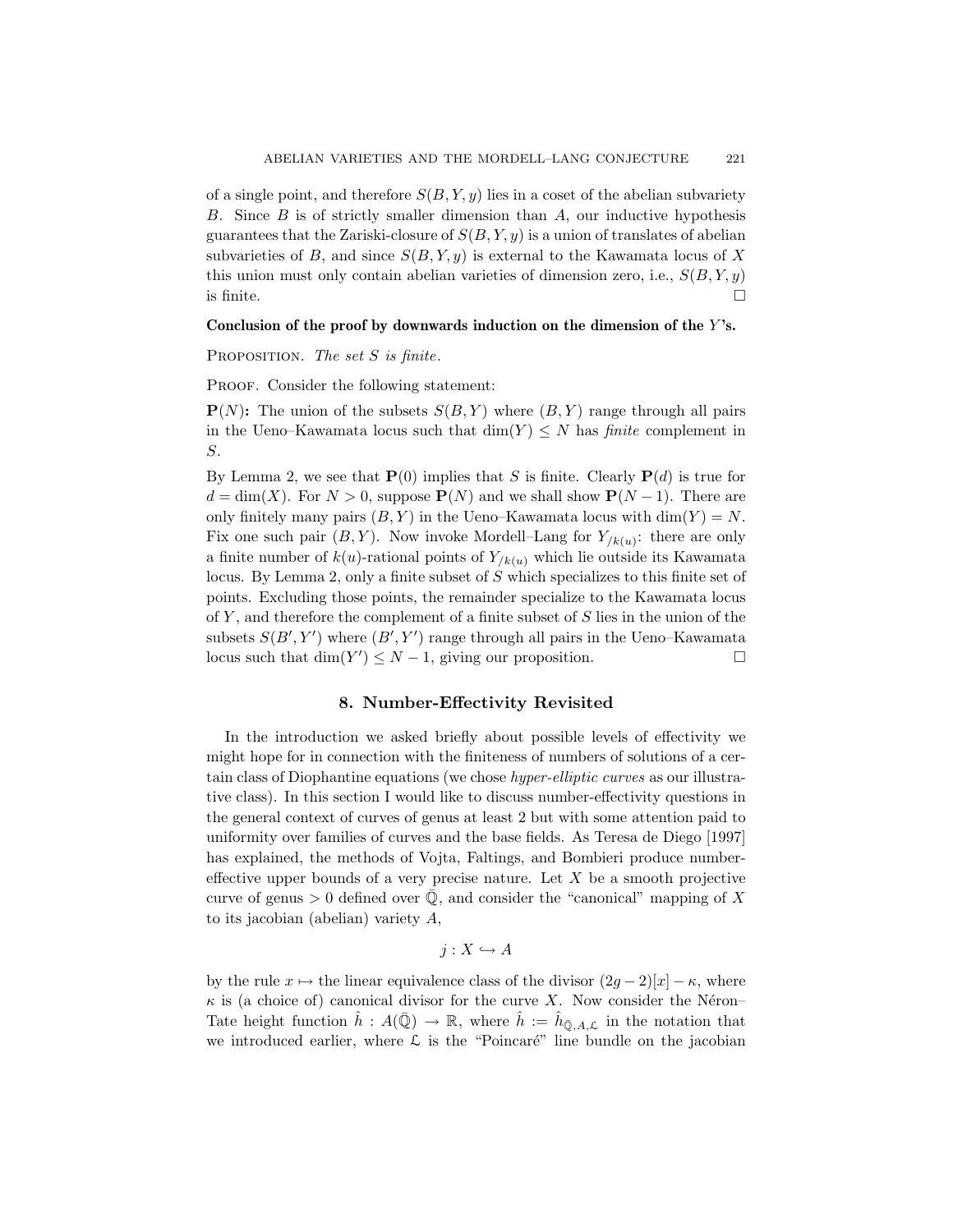of a single point, and therefore  $S(B, Y, y)$  lies in a coset of the abelian subvariety B. Since  $B$  is of strictly smaller dimension than  $A$ , our inductive hypothesis guarantees that the Zariski-closure of  $S(B, Y, y)$  is a union of translates of abelian subvarieties of B, and since  $S(B, Y, y)$  is external to the Kawamata locus of X this union must only contain abelian varieties of dimension zero, i.e.,  $S(B, Y, y)$ is finite.  $\Box$ 

### Conclusion of the proof by downwards induction on the dimension of the  $Y$ 's.

PROPOSITION. The set  $S$  is finite.

PROOF. Consider the following statement:

 $P(N)$ : The union of the subsets  $S(B, Y)$  where  $(B, Y)$  range through all pairs in the Ueno–Kawamata locus such that  $\dim(Y) \leq N$  has *finite* complement in S.

By Lemma 2, we see that  $\mathbf{P}(0)$  implies that S is finite. Clearly  $\mathbf{P}(d)$  is true for  $d = \dim(X)$ . For  $N > 0$ , suppose  $P(N)$  and we shall show  $P(N-1)$ . There are only finitely many pairs  $(B, Y)$  in the Ueno–Kawamata locus with  $\dim(Y) = N$ . Fix one such pair  $(B, Y)$ . Now invoke Mordell–Lang for  $Y_{/k(u)}$ : there are only a finite number of  $k(u)$ -rational points of  $Y_{/k(u)}$  which lie outside its Kawamata locus. By Lemma 2, only a finite subset of S which specializes to this finite set of points. Excluding those points, the remainder specialize to the Kawamata locus of  $Y$ , and therefore the complement of a finite subset of  $S$  lies in the union of the subsets  $S(B', Y')$  where  $(B', Y')$  range through all pairs in the Ueno–Kawamata locus such that  $\dim(Y') \leq N-1$ , giving our proposition.

# 8. Number-Effectivity Revisited

In the introduction we asked briefly about possible levels of effectivity we might hope for in connection with the finiteness of numbers of solutions of a certain class of Diophantine equations (we chose hyper-elliptic curves as our illustrative class). In this section I would like to discuss number-effectivity questions in the general context of curves of genus at least 2 but with some attention paid to uniformity over families of curves and the base fields. As Teresa de Diego [1997] has explained, the methods of Vojta, Faltings, and Bombieri produce numbereffective upper bounds of a very precise nature. Let  $X$  be a smooth projective curve of genus  $> 0$  defined over  $\overline{Q}$ , and consider the "canonical" mapping of X to its jacobian (abelian) variety A,

 $j : X \hookrightarrow A$ 

by the rule  $x \mapsto$  the linear equivalence class of the divisor  $(2q - 2)[x] - \kappa$ , where  $\kappa$  is (a choice of) canonical divisor for the curve X. Now consider the Néron– Tate height function  $\hat{h}: A(\bar{Q}) \to \mathbb{R}$ , where  $\hat{h} := \hat{h}_{\bar{Q},A,\mathcal{L}}$  in the notation that we introduced earlier, where  $\mathcal L$  is the "Poincaré" line bundle on the jacobian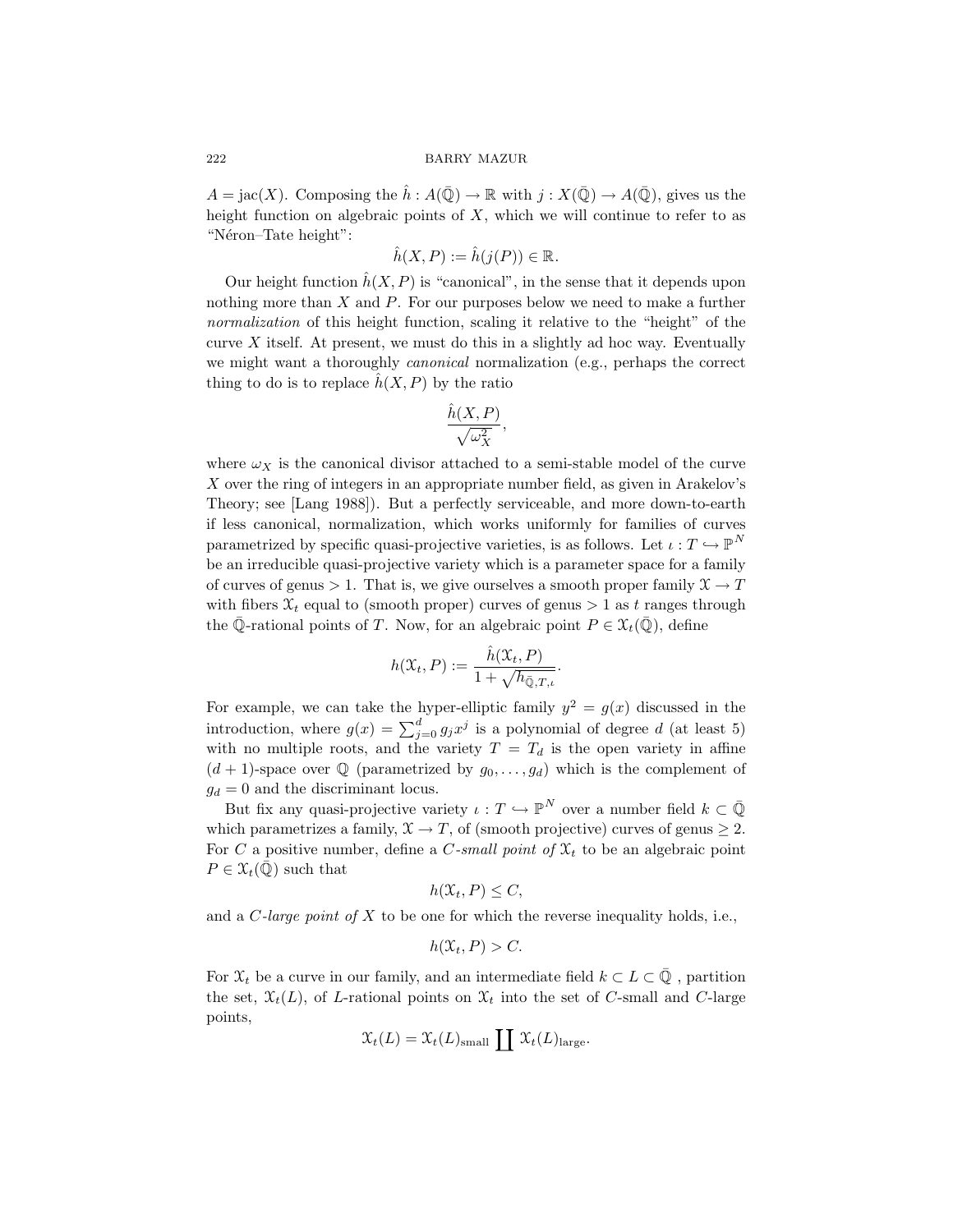$A = \text{jac}(X)$ . Composing the  $\hat{h}: A(\bar{\mathbb{Q}}) \to \mathbb{R}$  with  $j: X(\bar{\mathbb{Q}}) \to A(\bar{\mathbb{Q}})$ , gives us the height function on algebraic points of  $X$ , which we will continue to refer to as "Néron–Tate height":

$$
\hat{h}(X,P) := \hat{h}(j(P)) \in \mathbb{R}.
$$

Our height function  $\hat{h}(X, P)$  is "canonical", in the sense that it depends upon nothing more than  $X$  and  $P$ . For our purposes below we need to make a further normalization of this height function, scaling it relative to the "height" of the curve  $X$  itself. At present, we must do this in a slightly ad hoc way. Eventually we might want a thoroughly canonical normalization (e.g., perhaps the correct thing to do is to replace  $\hat{h}(X, P)$  by the ratio

$$
\frac{\hat{h}(X,P)}{\sqrt{\omega_X^2}},
$$

where  $\omega_X$  is the canonical divisor attached to a semi-stable model of the curve X over the ring of integers in an appropriate number field, as given in Arakelov's Theory; see [Lang 1988]). But a perfectly serviceable, and more down-to-earth if less canonical, normalization, which works uniformly for families of curves parametrized by specific quasi-projective varieties, is as follows. Let  $\iota: T \hookrightarrow \mathbb{P}^N$ be an irreducible quasi-projective variety which is a parameter space for a family of curves of genus > 1. That is, we give ourselves a smooth proper family  $\mathfrak{X} \to T$ with fibers  $\mathfrak{X}_t$  equal to (smooth proper) curves of genus  $> 1$  as t ranges through the Q-rational points of T. Now, for an algebraic point  $P \in \mathfrak{X}_t(\mathbb{Q})$ , define

$$
h(\mathfrak{X}_t, P) := \frac{\hat{h}(\mathfrak{X}_t, P)}{1 + \sqrt{h_{\bar{\mathbb{Q}}, T, \iota}}}.
$$

For example, we can take the hyper-elliptic family  $y^2 = g(x)$  discussed in the introduction, where  $g(x) = \sum_{j=0}^{d} g_j x^j$  is a polynomial of degree d (at least 5) with no multiple roots, and the variety  $T = T_d$  is the open variety in affine  $(d+1)$ -space over Q (parametrized by  $g_0, \ldots, g_d$ ) which is the complement of  $g_d = 0$  and the discriminant locus.

But fix any quasi-projective variety  $\iota : T \hookrightarrow \mathbb{P}^N$  over a number field  $k \subset \overline{\mathbb{Q}}$ which parametrizes a family,  $\mathfrak{X} \to T$ , of (smooth projective) curves of genus  $\geq 2$ . For C a positive number, define a C-small point of  $X_t$  to be an algebraic point  $P \in \mathfrak{X}_t(\mathbb{Q})$  such that

$$
h(\mathfrak{X}_t, P) \leq C,
$$

and a C-large point of  $X$  to be one for which the reverse inequality holds, i.e.,

$$
h(\mathfrak{X}_t, P) > C.
$$

For  $\mathfrak{X}_t$  be a curve in our family, and an intermediate field  $k \subset L \subset \mathbb{Q}$ , partition the set,  $\mathfrak{X}_t(L)$ , of L-rational points on  $\mathfrak{X}_t$  into the set of C-small and C-large points,

$$
\mathfrak{X}_{t}(L) = \mathfrak{X}_{t}(L)_{\text{small}} \coprod \mathfrak{X}_{t}(L)_{\text{large}}.
$$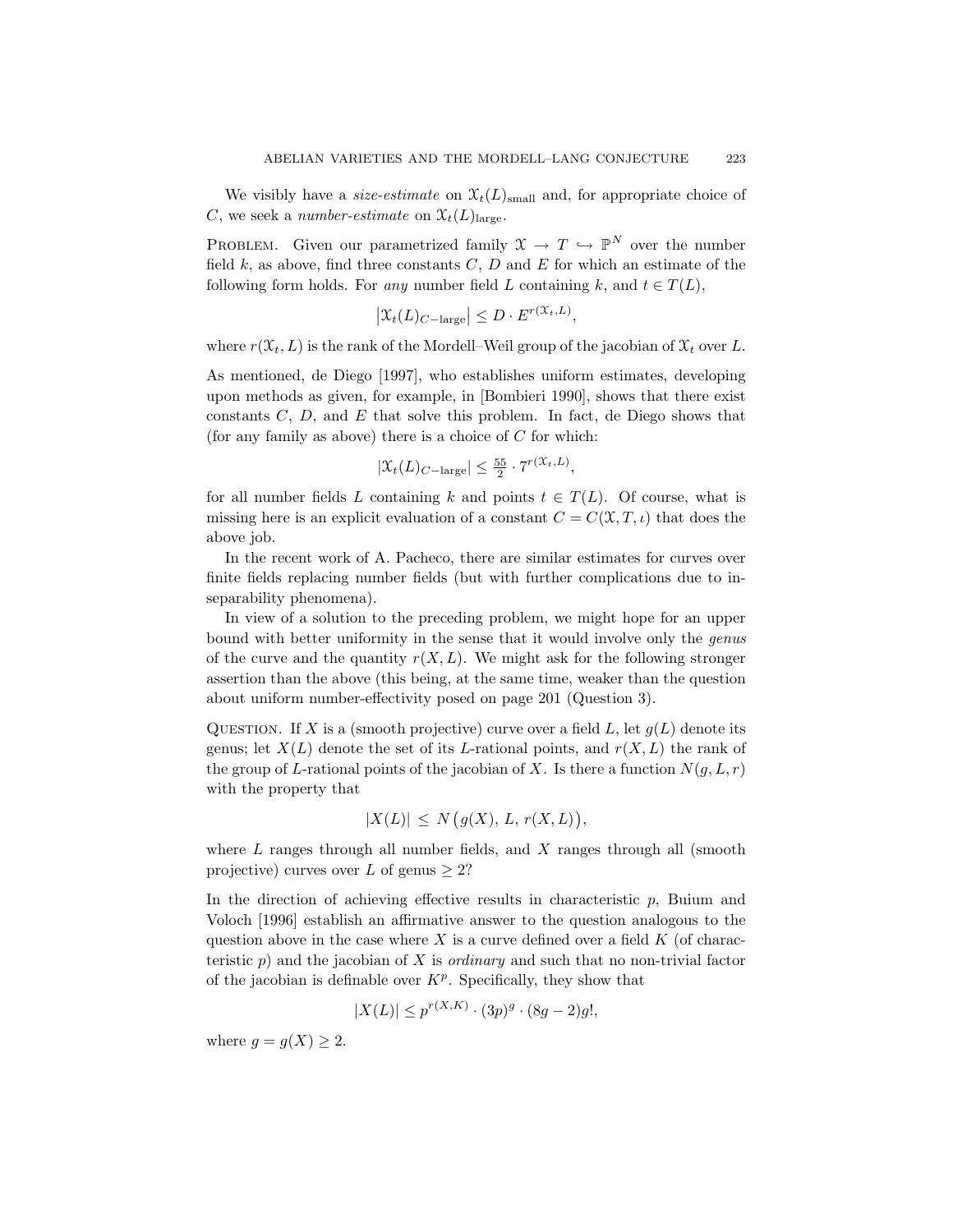We visibly have a *size-estimate* on  $\mathfrak{X}_t(L)_{\text{small}}$  and, for appropriate choice of C, we seek a number-estimate on  $\mathfrak{X}_{t}(L)_{\text{large}}$ .

PROBLEM. Given our parametrized family  $\mathfrak{X} \to T \hookrightarrow \mathbb{P}^N$  over the number field  $k$ , as above, find three constants  $C, D$  and  $E$  for which an estimate of the following form holds. For any number field L containing k, and  $t \in T(L)$ ,

$$
\left| \mathfrak{X}_{t}(L)_{C-\text{large}} \right| \leq D \cdot E^{r(\mathfrak{X}_{t},L)},
$$

where  $r(\mathfrak{X}_t, L)$  is the rank of the Mordell–Weil group of the jacobian of  $\mathfrak{X}_t$  over L.

As mentioned, de Diego [1997], who establishes uniform estimates, developing upon methods as given, for example, in [Bombieri 1990], shows that there exist constants  $C, D$ , and  $E$  that solve this problem. In fact, de Diego shows that (for any family as above) there is a choice of  $C$  for which:

$$
|\mathcal{X}_t(L)_{C-\text{large}}| \le \frac{55}{2} \cdot 7^{r(\mathcal{X}_t, L)}
$$

,

for all number fields L containing k and points  $t \in T(L)$ . Of course, what is missing here is an explicit evaluation of a constant  $C = C(\mathfrak{X}, T, \iota)$  that does the above job.

In the recent work of A. Pacheco, there are similar estimates for curves over finite fields replacing number fields (but with further complications due to inseparability phenomena).

In view of a solution to the preceding problem, we might hope for an upper bound with better uniformity in the sense that it would involve only the *genus* of the curve and the quantity  $r(X, L)$ . We might ask for the following stronger assertion than the above (this being, at the same time, weaker than the question about uniform number-effectivity posed on page 201 (Question 3).

QUESTION. If X is a (smooth projective) curve over a field L, let  $g(L)$  denote its genus; let  $X(L)$  denote the set of its L-rational points, and  $r(X, L)$  the rank of the group of L-rational points of the jacobian of X. Is there a function  $N(q, L, r)$ with the property that

$$
|X(L)| \le N(g(X), L, r(X, L)),
$$

where  $L$  ranges through all number fields, and  $X$  ranges through all (smooth projective) curves over L of genus  $> 2$ ?

In the direction of achieving effective results in characteristic  $p$ , Buium and Voloch [1996] establish an affirmative answer to the question analogous to the question above in the case where X is a curve defined over a field  $K$  (of characteristic p) and the jacobian of X is *ordinary* and such that no non-trivial factor of the jacobian is definable over  $K^p$ . Specifically, they show that

$$
|X(L)| \le p^{r(X,K)} \cdot (3p)^g \cdot (8g - 2)g!,
$$

where  $g = g(X) \geq 2$ .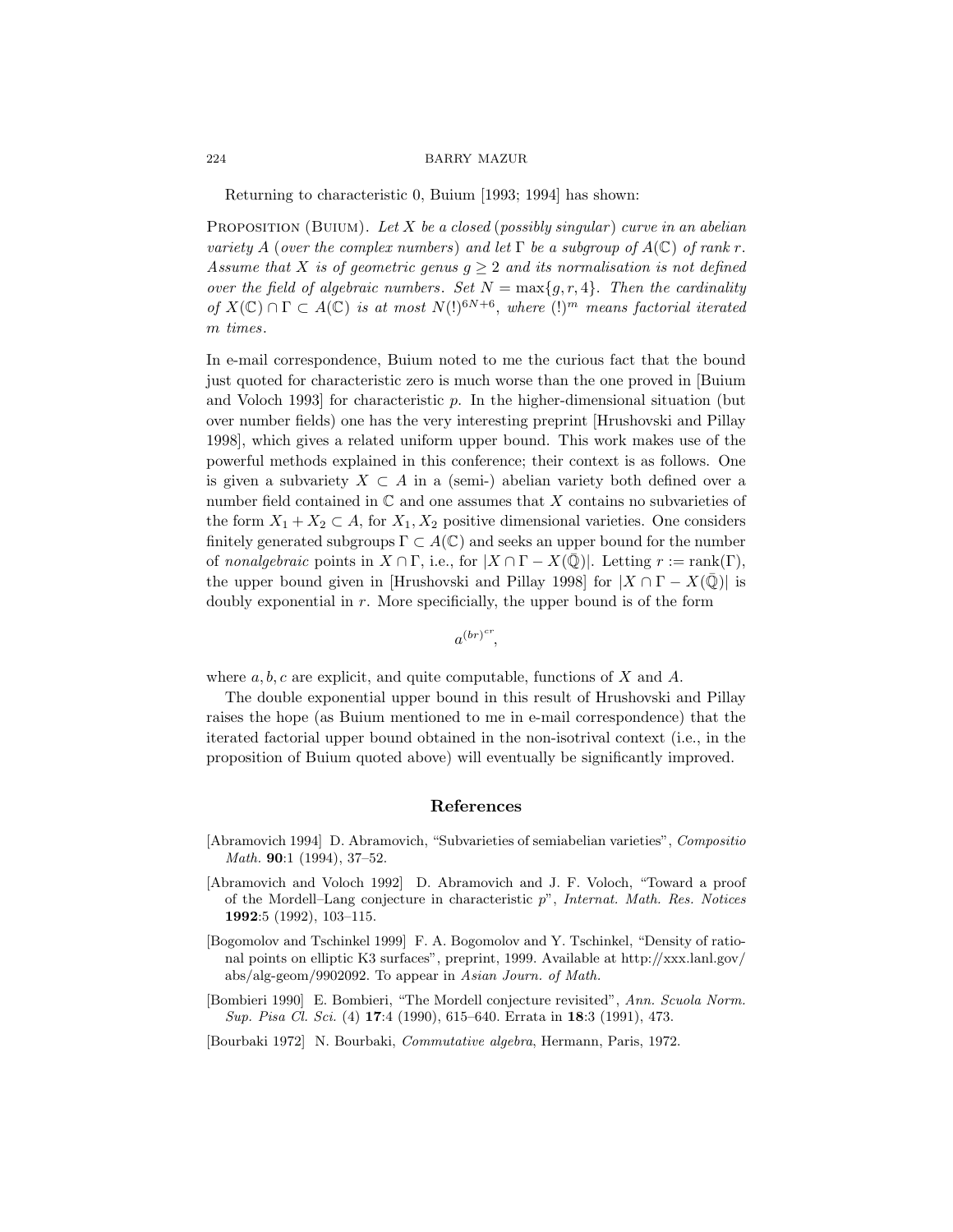Returning to characteristic 0, Buium [1993; 1994] has shown:

PROPOSITION (BUIUM). Let X be a closed (possibly singular) curve in an abelian variety A (over the complex numbers) and let  $\Gamma$  be a subgroup of  $A(\mathbb{C})$  of rank r. Assume that X is of geometric genus  $g \geq 2$  and its normalisation is not defined over the field of algebraic numbers. Set  $N = \max\{g, r, 4\}$ . Then the cardinality of  $X(\mathbb{C}) \cap \Gamma \subset A(\mathbb{C})$  is at most  $N(!)^{6N+6}$ , where  $(!)^m$  means factorial iterated m times.

In e-mail correspondence, Buium noted to me the curious fact that the bound just quoted for characteristic zero is much worse than the one proved in [Buium and Voloch 1993] for characteristic p. In the higher-dimensional situation (but over number fields) one has the very interesting preprint [Hrushovski and Pillay 1998], which gives a related uniform upper bound. This work makes use of the powerful methods explained in this conference; their context is as follows. One is given a subvariety  $X \subset A$  in a (semi-) abelian variety both defined over a number field contained in  $\mathbb C$  and one assumes that X contains no subvarieties of the form  $X_1 + X_2 \subset A$ , for  $X_1, X_2$  positive dimensional varieties. One considers finitely generated subgroups  $\Gamma \subset A(\mathbb{C})$  and seeks an upper bound for the number of nonalgebraic points in  $X \cap \Gamma$ , i.e., for  $|X \cap \Gamma - X(\mathbb{Q})|$ . Letting  $r := \text{rank}(\Gamma)$ , the upper bound given in [Hrushovski and Pillay 1998] for  $|X \cap \Gamma - X(\overline{Q})|$  is doubly exponential in  $r$ . More specificially, the upper bound is of the form

 $a^{(br)^{cr}},$ 

where  $a, b, c$  are explicit, and quite computable, functions of X and A.

The double exponential upper bound in this result of Hrushovski and Pillay raises the hope (as Buium mentioned to me in e-mail correspondence) that the iterated factorial upper bound obtained in the non-isotrival context (i.e., in the proposition of Buium quoted above) will eventually be significantly improved.

## References

- [Abramovich 1994] D. Abramovich, "Subvarieties of semiabelian varieties", Compositio Math. 90:1 (1994), 37–52.
- [Abramovich and Voloch 1992] D. Abramovich and J. F. Voloch, "Toward a proof of the Mordell–Lang conjecture in characteristic  $p^{\prime\prime}$ , Internat. Math. Res. Notices 1992:5 (1992), 103–115.
- [Bogomolov and Tschinkel 1999] F. A. Bogomolov and Y. Tschinkel, "Density of rational points on elliptic K3 surfaces", preprint, 1999. Available at http://xxx.lanl.gov/ abs/alg-geom/9902092. To appear in Asian Journ. of Math.
- [Bombieri 1990] E. Bombieri, "The Mordell conjecture revisited", Ann. Scuola Norm. Sup. Pisa Cl. Sci. (4) 17:4 (1990), 615–640. Errata in 18:3 (1991), 473.
- [Bourbaki 1972] N. Bourbaki, Commutative algebra, Hermann, Paris, 1972.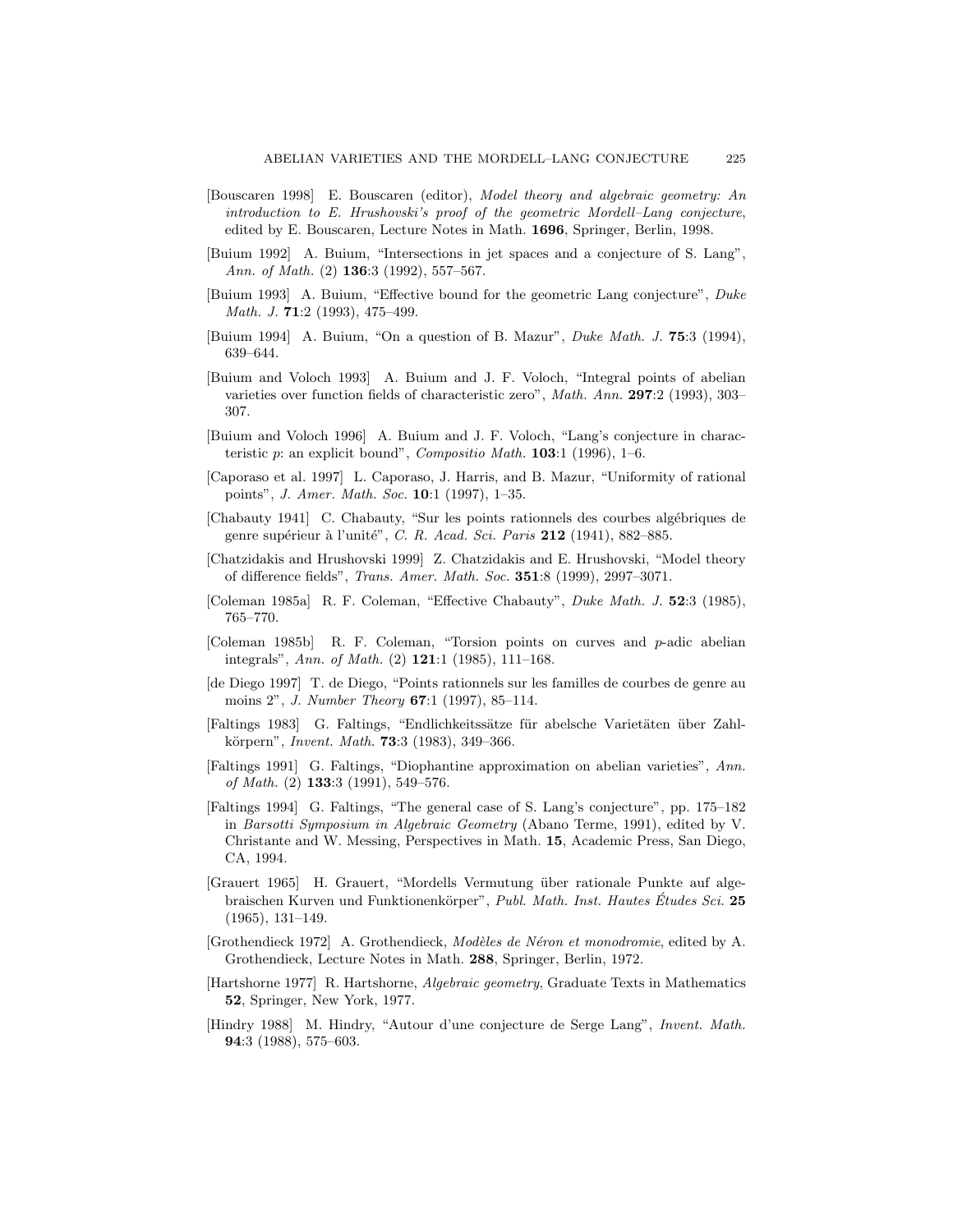- [Bouscaren 1998] E. Bouscaren (editor), Model theory and algebraic geometry: An introduction to E. Hrushovski's proof of the geometric Mordell–Lang conjecture, edited by E. Bouscaren, Lecture Notes in Math. 1696, Springer, Berlin, 1998.
- [Buium 1992] A. Buium, "Intersections in jet spaces and a conjecture of S. Lang", Ann. of Math. (2) **136**:3 (1992), 557-567.
- [Buium 1993] A. Buium, "Effective bound for the geometric Lang conjecture", Duke Math. J. 71:2 (1993), 475–499.
- [Buium 1994] A. Buium, "On a question of B. Mazur", Duke Math. J. 75:3 (1994), 639–644.
- [Buium and Voloch 1993] A. Buium and J. F. Voloch, "Integral points of abelian varieties over function fields of characteristic zero", Math. Ann. 297:2 (1993), 303– 307.
- [Buium and Voloch 1996] A. Buium and J. F. Voloch, "Lang's conjecture in characteristic p: an explicit bound", Compositio Math. 103:1 (1996), 1-6.
- [Caporaso et al. 1997] L. Caporaso, J. Harris, and B. Mazur, "Uniformity of rational points", J. Amer. Math. Soc. 10:1 (1997), 1–35.
- [Chabauty 1941] C. Chabauty, "Sur les points rationnels des courbes algébriques de genre supérieur à l'unité", C. R. Acad. Sci. Paris 212 (1941), 882-885.
- [Chatzidakis and Hrushovski 1999] Z. Chatzidakis and E. Hrushovski, "Model theory of difference fields", Trans. Amer. Math. Soc. 351:8 (1999), 2997–3071.
- [Coleman 1985a] R. F. Coleman, "Effective Chabauty", Duke Math. J. 52:3 (1985), 765–770.
- [Coleman 1985b] R. F. Coleman, "Torsion points on curves and p-adic abelian integrals", Ann. of Math. (2) 121:1 (1985), 111–168.
- [de Diego 1997] T. de Diego, "Points rationnels sur les familles de courbes de genre au moins 2", *J. Number Theory* **67**:1 (1997), 85-114.
- [Faltings 1983] G. Faltings, "Endlichkeitssätze für abelsche Varietäten über Zahlkörpern", *Invent. Math.* **73**:3 (1983), 349–366.
- [Faltings 1991] G. Faltings, "Diophantine approximation on abelian varieties", Ann. of Math.  $(2)$  133:3  $(1991)$ , 549-576.
- [Faltings 1994] G. Faltings, "The general case of S. Lang's conjecture", pp. 175–182 in Barsotti Symposium in Algebraic Geometry (Abano Terme, 1991), edited by V. Christante and W. Messing, Perspectives in Math. 15, Academic Press, San Diego, CA, 1994.
- [Grauert 1965] H. Grauert, "Mordells Vermutung ¨uber rationale Punkte auf algebraischen Kurven und Funktionenkörper", Publ. Math. Inst. Hautes Études Sci. 25 (1965), 131–149.
- [Grothendieck 1972] A. Grothendieck, Modèles de Néron et monodromie, edited by A. Grothendieck, Lecture Notes in Math. 288, Springer, Berlin, 1972.
- [Hartshorne 1977] R. Hartshorne, Algebraic geometry, Graduate Texts in Mathematics 52, Springer, New York, 1977.
- [Hindry 1988] M. Hindry, "Autour d'une conjecture de Serge Lang", Invent. Math. 94:3 (1988), 575–603.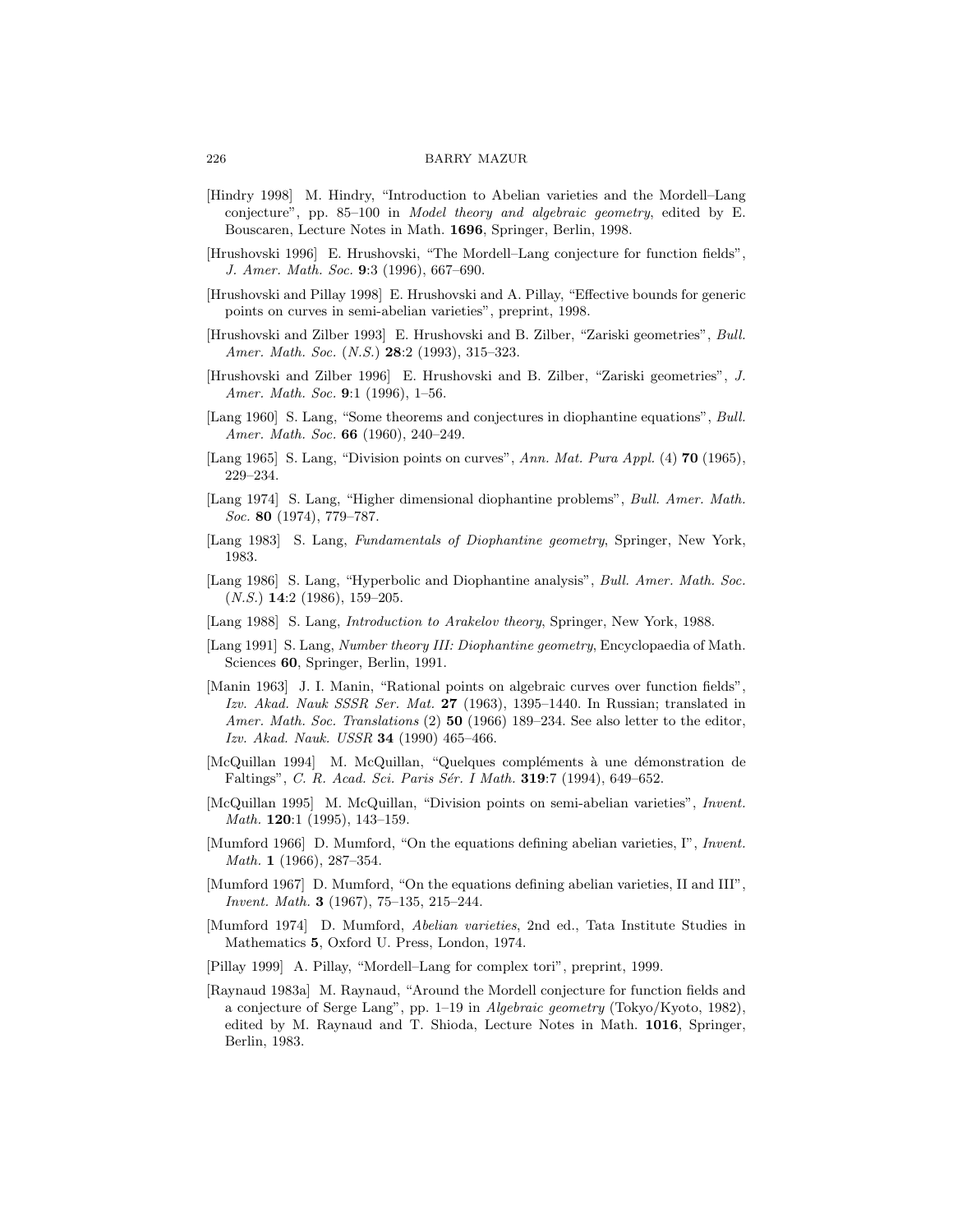- [Hindry 1998] M. Hindry, "Introduction to Abelian varieties and the Mordell–Lang conjecture", pp. 85–100 in Model theory and algebraic geometry, edited by E. Bouscaren, Lecture Notes in Math. 1696, Springer, Berlin, 1998.
- [Hrushovski 1996] E. Hrushovski, "The Mordell–Lang conjecture for function fields", J. Amer. Math. Soc. 9:3 (1996), 667–690.
- [Hrushovski and Pillay 1998] E. Hrushovski and A. Pillay, "Effective bounds for generic points on curves in semi-abelian varieties", preprint, 1998.
- [Hrushovski and Zilber 1993] E. Hrushovski and B. Zilber, "Zariski geometries", Bull. Amer. Math. Soc. (N.S.) 28:2 (1993), 315-323.
- [Hrushovski and Zilber 1996] E. Hrushovski and B. Zilber, "Zariski geometries", J. Amer. Math. Soc. 9:1 (1996), 1-56.
- [Lang 1960] S. Lang, "Some theorems and conjectures in diophantine equations", Bull. Amer. Math. Soc. 66 (1960), 240-249.
- [Lang 1965] S. Lang, "Division points on curves", Ann. Mat. Pura Appl. (4) **70** (1965), 229–234.
- [Lang 1974] S. Lang, "Higher dimensional diophantine problems", Bull. Amer. Math. Soc. 80 (1974), 779–787.
- [Lang 1983] S. Lang, Fundamentals of Diophantine geometry, Springer, New York, 1983.
- [Lang 1986] S. Lang, "Hyperbolic and Diophantine analysis", Bull. Amer. Math. Soc.  $(N.S.)$  14:2 (1986), 159-205.
- [Lang 1988] S. Lang, Introduction to Arakelov theory, Springer, New York, 1988.
- [Lang 1991] S. Lang, Number theory III: Diophantine geometry, Encyclopaedia of Math. Sciences 60, Springer, Berlin, 1991.
- [Manin 1963] J. I. Manin, "Rational points on algebraic curves over function fields", Izv. Akad. Nauk SSSR Ser. Mat. 27 (1963), 1395–1440. In Russian; translated in Amer. Math. Soc. Translations (2) 50 (1966) 189–234. See also letter to the editor, Izv. Akad. Nauk. USSR 34 (1990) 465–466.
- [McQuillan 1994] M. McQuillan, "Quelques compléments à une démonstration de Faltings", C. R. Acad. Sci. Paris Sér. I Math. 319:7 (1994), 649-652.
- [McQuillan 1995] M. McQuillan, "Division points on semi-abelian varieties", Invent. Math. **120**:1 (1995), 143-159.
- [Mumford 1966] D. Mumford, "On the equations defining abelian varieties, I", Invent. Math. 1 (1966), 287–354.
- [Mumford 1967] D. Mumford, "On the equations defining abelian varieties, II and III", Invent. Math. 3 (1967), 75–135, 215–244.
- [Mumford 1974] D. Mumford, Abelian varieties, 2nd ed., Tata Institute Studies in Mathematics 5, Oxford U. Press, London, 1974.
- [Pillay 1999] A. Pillay, "Mordell–Lang for complex tori", preprint, 1999.
- [Raynaud 1983a] M. Raynaud, "Around the Mordell conjecture for function fields and a conjecture of Serge Lang", pp. 1–19 in Algebraic geometry (Tokyo/Kyoto, 1982), edited by M. Raynaud and T. Shioda, Lecture Notes in Math. 1016, Springer, Berlin, 1983.